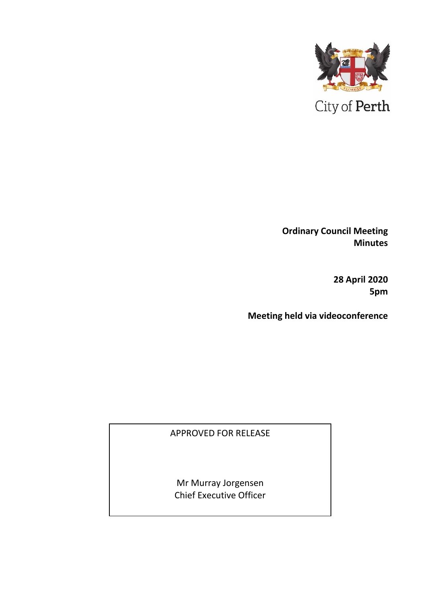

**Ordinary Council Meeting Minutes** 

> **28 April 2020 5pm**

**Meeting held via videoconference**

APPROVED FOR RELEASE

Mr Murray Jorgensen Chief Executive Officer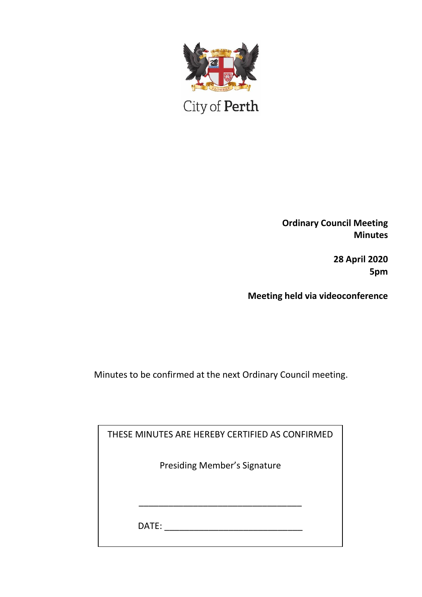

City of Perth

**Ordinary Council Meeting Minutes**

> **28 April 2020 5pm**

**Meeting held via videoconference**

Minutes to be confirmed at the next Ordinary Council meeting.

| THESE MINUTES ARE HEREBY CERTIFIED AS CONFIRMED |  |
|-------------------------------------------------|--|
| <b>Presiding Member's Signature</b>             |  |
|                                                 |  |
|                                                 |  |
| DATE:                                           |  |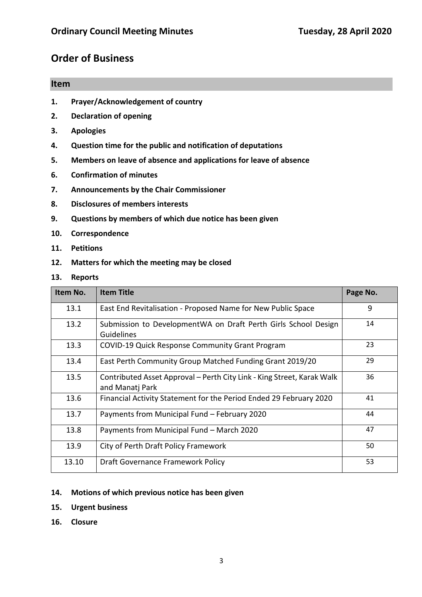## **Order of Business**

# **Item 1. Prayer/Acknowledgement of country 2. Declaration of opening 3. Apologies 4. Question time for the public and notification of deputations**

- **5. Members on leave of absence and applications for leave of absence**
- **6. Confirmation of minutes**
- **7. Announcements by the Chair Commissioner**
- **8. Disclosures of members interests**
- **9. Questions by members of which due notice has been given**
- **10. Correspondence**
- **11. Petitions**
- **12. Matters for which the meeting may be closed**
- **13. Reports**

| Item No. | <b>Item Title</b>                                                                         | Page No. |
|----------|-------------------------------------------------------------------------------------------|----------|
| 13.1     | East End Revitalisation - Proposed Name for New Public Space                              | 9        |
| 13.2     | Submission to DevelopmentWA on Draft Perth Girls School Design<br>Guidelines              |          |
| 13.3     | <b>COVID-19 Quick Response Community Grant Program</b>                                    | 23       |
| 13.4     | East Perth Community Group Matched Funding Grant 2019/20                                  | 29       |
| 13.5     | Contributed Asset Approval – Perth City Link - King Street, Karak Walk<br>and Manatj Park | 36       |
| 13.6     | Financial Activity Statement for the Period Ended 29 February 2020                        | 41       |
| 13.7     | Payments from Municipal Fund - February 2020                                              | 44       |
| 13.8     | Payments from Municipal Fund - March 2020                                                 | 47       |
| 13.9     | City of Perth Draft Policy Framework                                                      | 50       |
| 13.10    | Draft Governance Framework Policy                                                         | 53       |

#### **14. Motions of which previous notice has been given**

- **15. Urgent business**
- **16. Closure**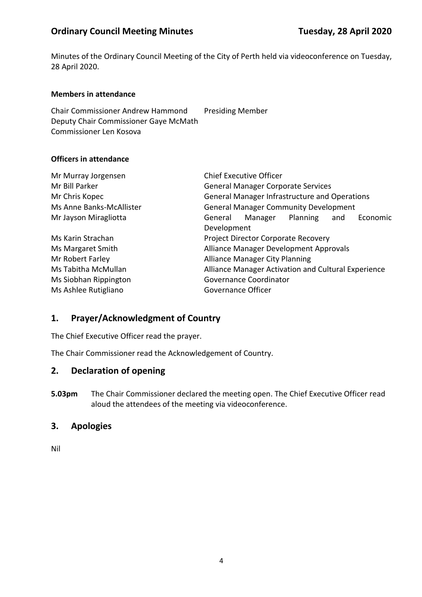Minutes of the Ordinary Council Meeting of the City of Perth held via videoconference on Tuesday, 28 April 2020.

#### **Members in attendance**

Chair Commissioner Andrew Hammond Presiding Member Deputy Chair Commissioner Gaye McMath Commissioner Len Kosova

#### **Officers in attendance**

| Mr Murray Jorgensen      |                    | <b>Chief Executive Officer</b>                      |          |     |          |
|--------------------------|--------------------|-----------------------------------------------------|----------|-----|----------|
| Mr Bill Parker           |                    | <b>General Manager Corporate Services</b>           |          |     |          |
| Mr Chris Kopec           |                    | General Manager Infrastructure and Operations       |          |     |          |
| Ms Anne Banks-McAllister |                    | <b>General Manager Community Development</b>        |          |     |          |
| Mr Jayson Miragliotta    | General            | Manager                                             | Planning | and | Economic |
|                          | Development        |                                                     |          |     |          |
| Ms Karin Strachan        |                    | <b>Project Director Corporate Recovery</b>          |          |     |          |
| Ms Margaret Smith        |                    | Alliance Manager Development Approvals              |          |     |          |
| Mr Robert Farley         |                    | <b>Alliance Manager City Planning</b>               |          |     |          |
| Ms Tabitha McMullan      |                    | Alliance Manager Activation and Cultural Experience |          |     |          |
| Ms Siobhan Rippington    |                    | Governance Coordinator                              |          |     |          |
| Ms Ashlee Rutigliano     | Governance Officer |                                                     |          |     |          |

#### **1. Prayer/Acknowledgment of Country**

The Chief Executive Officer read the prayer.

The Chair Commissioner read the Acknowledgement of Country.

## **2. Declaration of opening**

**5.03pm** The Chair Commissioner declared the meeting open. The Chief Executive Officer read aloud the attendees of the meeting via videoconference.

## **3. Apologies**

Nil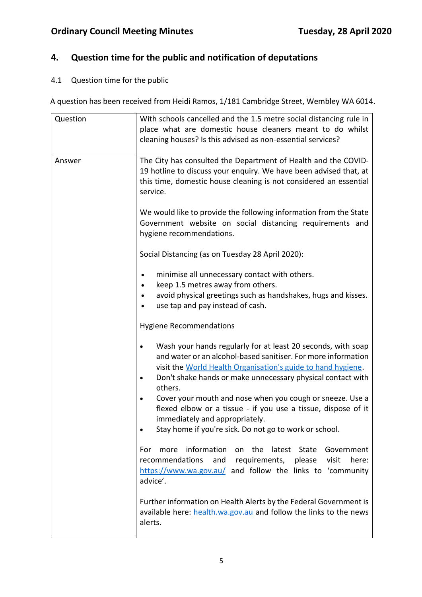## **4. Question time for the public and notification of deputations**

## 4.1 Question time for the public

A question has been received from Heidi Ramos, 1/181 Cambridge Street, Wembley WA 6014.

| Question | With schools cancelled and the 1.5 metre social distancing rule in<br>place what are domestic house cleaners meant to do whilst<br>cleaning houses? Is this advised as non-essential services?                                                                                                                                                                                                                                                                                                    |
|----------|---------------------------------------------------------------------------------------------------------------------------------------------------------------------------------------------------------------------------------------------------------------------------------------------------------------------------------------------------------------------------------------------------------------------------------------------------------------------------------------------------|
| Answer   | The City has consulted the Department of Health and the COVID-<br>19 hotline to discuss your enquiry. We have been advised that, at<br>this time, domestic house cleaning is not considered an essential<br>service.                                                                                                                                                                                                                                                                              |
|          | We would like to provide the following information from the State<br>Government website on social distancing requirements and<br>hygiene recommendations.                                                                                                                                                                                                                                                                                                                                         |
|          | Social Distancing (as on Tuesday 28 April 2020):                                                                                                                                                                                                                                                                                                                                                                                                                                                  |
|          | minimise all unnecessary contact with others.<br>keep 1.5 metres away from others.<br>avoid physical greetings such as handshakes, hugs and kisses.<br>use tap and pay instead of cash.                                                                                                                                                                                                                                                                                                           |
|          | <b>Hygiene Recommendations</b>                                                                                                                                                                                                                                                                                                                                                                                                                                                                    |
|          | Wash your hands regularly for at least 20 seconds, with soap<br>and water or an alcohol-based sanitiser. For more information<br>visit the World Health Organisation's guide to hand hygiene.<br>Don't shake hands or make unnecessary physical contact with<br>others.<br>Cover your mouth and nose when you cough or sneeze. Use a<br>flexed elbow or a tissue - if you use a tissue, dispose of it<br>immediately and appropriately.<br>Stay home if you're sick. Do not go to work or school. |
|          | on the<br>information<br>latest State<br>Government<br>more<br>For<br>and<br>recommendations<br>requirements, please<br>visit<br>here:<br>https://www.wa.gov.au/ and follow the links to 'community<br>advice'.                                                                                                                                                                                                                                                                                   |
|          | Further information on Health Alerts by the Federal Government is<br>available here: health.wa.gov.au and follow the links to the news<br>alerts.                                                                                                                                                                                                                                                                                                                                                 |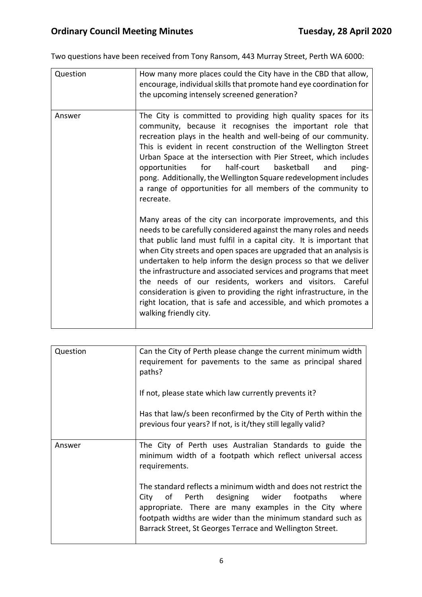Two questions have been received from Tony Ransom, 443 Murray Street, Perth WA 6000:

| Question | How many more places could the City have in the CBD that allow,<br>encourage, individual skills that promote hand eye coordination for<br>the upcoming intensely screened generation?                                                                                                                                                                                                                                                                                                                                                                                                                                                                                                                                                                                                                                                                                                                                                                                                                                                                                                                                                                                                                                     |
|----------|---------------------------------------------------------------------------------------------------------------------------------------------------------------------------------------------------------------------------------------------------------------------------------------------------------------------------------------------------------------------------------------------------------------------------------------------------------------------------------------------------------------------------------------------------------------------------------------------------------------------------------------------------------------------------------------------------------------------------------------------------------------------------------------------------------------------------------------------------------------------------------------------------------------------------------------------------------------------------------------------------------------------------------------------------------------------------------------------------------------------------------------------------------------------------------------------------------------------------|
| Answer   | The City is committed to providing high quality spaces for its<br>community, because it recognises the important role that<br>recreation plays in the health and well-being of our community.<br>This is evident in recent construction of the Wellington Street<br>Urban Space at the intersection with Pier Street, which includes<br>half-court<br>basketball<br>for<br>ping-<br>opportunities<br>and<br>pong. Additionally, the Wellington Square redevelopment includes<br>a range of opportunities for all members of the community to<br>recreate.<br>Many areas of the city can incorporate improvements, and this<br>needs to be carefully considered against the many roles and needs<br>that public land must fulfil in a capital city. It is important that<br>when City streets and open spaces are upgraded that an analysis is<br>undertaken to help inform the design process so that we deliver<br>the infrastructure and associated services and programs that meet<br>the needs of our residents, workers and visitors. Careful<br>consideration is given to providing the right infrastructure, in the<br>right location, that is safe and accessible, and which promotes a<br>walking friendly city. |

| Question | Can the City of Perth please change the current minimum width<br>requirement for pavements to the same as principal shared<br>paths?<br>If not, please state which law currently prevents it?                                                                                                             |
|----------|-----------------------------------------------------------------------------------------------------------------------------------------------------------------------------------------------------------------------------------------------------------------------------------------------------------|
|          | Has that law/s been reconfirmed by the City of Perth within the<br>previous four years? If not, is it/they still legally valid?                                                                                                                                                                           |
| Answer   | The City of Perth uses Australian Standards to guide the<br>minimum width of a footpath which reflect universal access<br>requirements.                                                                                                                                                                   |
|          | The standard reflects a minimum width and does not restrict the<br>City of Perth designing wider footpaths<br>where<br>appropriate. There are many examples in the City where<br>footpath widths are wider than the minimum standard such as<br>Barrack Street, St Georges Terrace and Wellington Street. |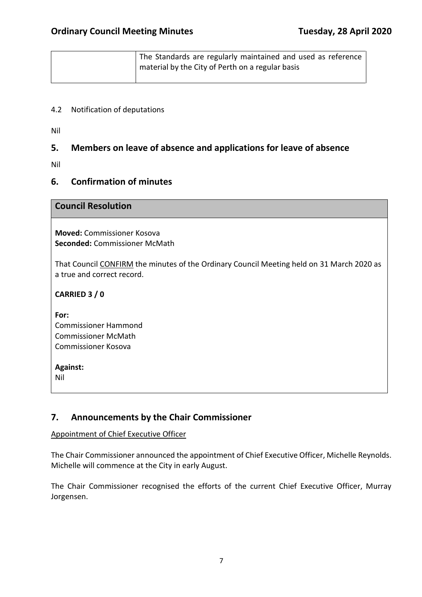| The Standards are regularly maintained and used as reference |
|--------------------------------------------------------------|
| material by the City of Perth on a regular basis             |
|                                                              |

#### 4.2 Notification of deputations

Nil

## **5. Members on leave of absence and applications for leave of absence**

Nil

## **6. Confirmation of minutes**

#### **Council Resolution**

**Moved:** Commissioner Kosova **Seconded:** Commissioner McMath

That Council CONFIRM the minutes of the Ordinary Council Meeting held on 31 March 2020 as a true and correct record.

**CARRIED 3 / 0**

**For:**  Commissioner Hammond Commissioner McMath Commissioner Kosova

**Against:** 

Nil

## **7. Announcements by the Chair Commissioner**

#### Appointment of Chief Executive Officer

The Chair Commissioner announced the appointment of Chief Executive Officer, Michelle Reynolds. Michelle will commence at the City in early August.

The Chair Commissioner recognised the efforts of the current Chief Executive Officer, Murray Jorgensen.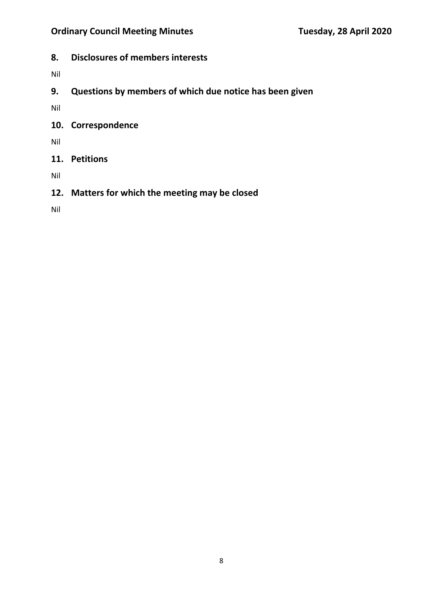**8. Disclosures of members interests** 

Nil

**9. Questions by members of which due notice has been given** 

Nil

**10. Correspondence** 

Nil

**11. Petitions** 

Nil

**12. Matters for which the meeting may be closed**

Nil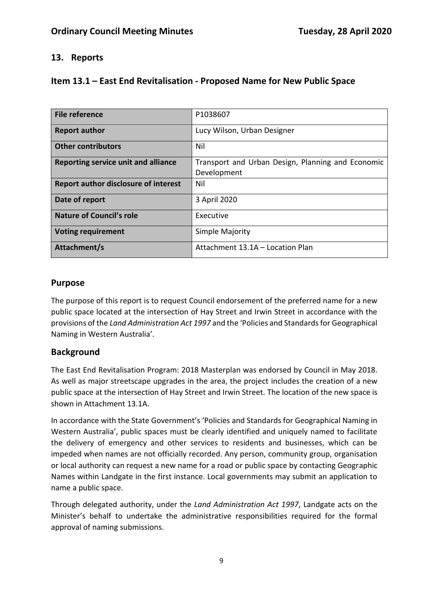## **13. Reports**

| Item 13.1 – East End Revitalisation - Proposed Name for New Public Space |  |
|--------------------------------------------------------------------------|--|
|--------------------------------------------------------------------------|--|

| <b>File reference</b>                       | P1038607                                          |
|---------------------------------------------|---------------------------------------------------|
| <b>Report author</b>                        | Lucy Wilson, Urban Designer                       |
| <b>Other contributors</b>                   | Nil                                               |
| Reporting service unit and alliance         | Transport and Urban Design, Planning and Economic |
|                                             | Development                                       |
| <b>Report author disclosure of interest</b> | Nil                                               |
| Date of report                              | 3 April 2020                                      |
| <b>Nature of Council's role</b>             | Executive                                         |
| <b>Voting requirement</b>                   | Simple Majority                                   |
| Attachment/s                                | Attachment 13.1A – Location Plan                  |

#### **Purpose**

The purpose of this report is to request Council endorsement of the preferred name for a new public space located at the intersection of Hay Street and Irwin Street in accordance with the provisions of the *Land Administration Act 1997* and the 'Policies and Standards for Geographical Naming in Western Australia'.

#### **Background**

The East End Revitalisation Program: 2018 Masterplan was endorsed by Council in May 2018. As well as major streetscape upgrades in the area, the project includes the creation of a new public space at the intersection of Hay Street and Irwin Street. The location of the new space is shown in Attachment 13.1A.

In accordance with the State Government's 'Policies and Standards for Geographical Naming in Western Australia', public spaces must be clearly identified and uniquely named to facilitate the delivery of emergency and other services to residents and businesses, which can be impeded when names are not officially recorded. Any person, community group, organisation or local authority can request a new name for a road or public space by contacting Geographic Names within Landgate in the first instance. Local governments may submit an application to name a public space.

Through delegated authority, under the *Land Administration Act 1997*, Landgate acts on the Minister's behalf to undertake the administrative responsibilities required for the formal approval of naming submissions.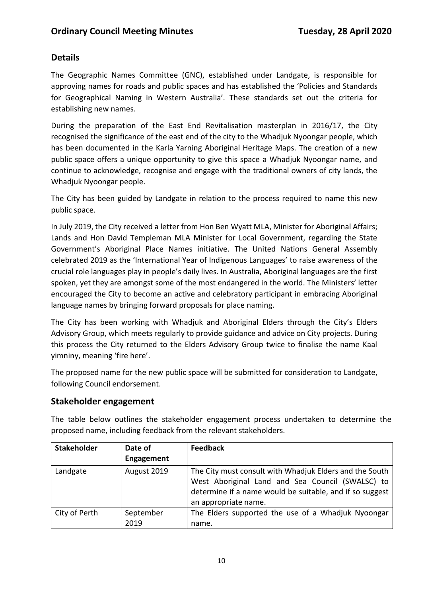## **Details**

The Geographic Names Committee (GNC), established under Landgate, is responsible for approving names for roads and public spaces and has established the 'Policies and Standards for Geographical Naming in Western Australia'. These standards set out the criteria for establishing new names.

During the preparation of the East End Revitalisation masterplan in 2016/17, the City recognised the significance of the east end of the city to the Whadjuk Nyoongar people, which has been documented in the Karla Yarning Aboriginal Heritage Maps. The creation of a new public space offers a unique opportunity to give this space a Whadjuk Nyoongar name, and continue to acknowledge, recognise and engage with the traditional owners of city lands, the Whadjuk Nyoongar people.

The City has been guided by Landgate in relation to the process required to name this new public space.

In July 2019, the City received a letter from Hon Ben Wyatt MLA, Minister for Aboriginal Affairs; Lands and Hon David Templeman MLA Minister for Local Government, regarding the State Government's Aboriginal Place Names initiative. The United Nations General Assembly celebrated 2019 as the 'International Year of Indigenous Languages' to raise awareness of the crucial role languages play in people's daily lives. In Australia, Aboriginal languages are the first spoken, yet they are amongst some of the most endangered in the world. The Ministers' letter encouraged the City to become an active and celebratory participant in embracing Aboriginal language names by bringing forward proposals for place naming.

The City has been working with Whadjuk and Aboriginal Elders through the City's Elders Advisory Group, which meets regularly to provide guidance and advice on City projects. During this process the City returned to the Elders Advisory Group twice to finalise the name Kaal yimniny, meaning 'fire here'.

The proposed name for the new public space will be submitted for consideration to Landgate, following Council endorsement.

## **Stakeholder engagement**

The table below outlines the stakeholder engagement process undertaken to determine the proposed name, including feedback from the relevant stakeholders.

| <b>Stakeholder</b> | Date of           | <b>Feedback</b>                                                                                                                                                                                 |
|--------------------|-------------------|-------------------------------------------------------------------------------------------------------------------------------------------------------------------------------------------------|
|                    | <b>Engagement</b> |                                                                                                                                                                                                 |
| Landgate           | August 2019       | The City must consult with Whadjuk Elders and the South<br>West Aboriginal Land and Sea Council (SWALSC) to<br>determine if a name would be suitable, and if so suggest<br>an appropriate name. |
| City of Perth      | September<br>2019 | The Elders supported the use of a Whadjuk Nyoongar<br>name.                                                                                                                                     |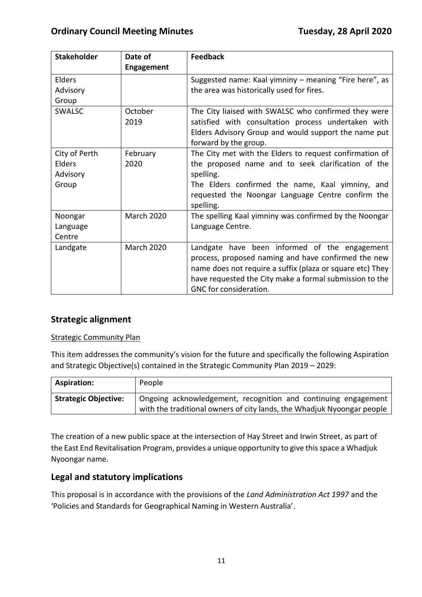| <b>Stakeholder</b>                           | Date of           | <b>Feedback</b>                                                                                                                                                                                                                                        |
|----------------------------------------------|-------------------|--------------------------------------------------------------------------------------------------------------------------------------------------------------------------------------------------------------------------------------------------------|
|                                              | <b>Engagement</b> |                                                                                                                                                                                                                                                        |
| Elders                                       |                   | Suggested name: Kaal yimniny - meaning "Fire here", as                                                                                                                                                                                                 |
| Advisory<br>Group                            |                   | the area was historically used for fires.                                                                                                                                                                                                              |
| <b>SWALSC</b>                                | October<br>2019   | The City liaised with SWALSC who confirmed they were<br>satisfied with consultation process undertaken with<br>Elders Advisory Group and would support the name put<br>forward by the group.                                                           |
| City of Perth<br>Elders<br>Advisory<br>Group | February<br>2020  | The City met with the Elders to request confirmation of<br>the proposed name and to seek clarification of the<br>spelling.<br>The Elders confirmed the name, Kaal yimniny, and<br>requested the Noongar Language Centre confirm the<br>spelling.       |
| Noongar<br>Language<br>Centre                | <b>March 2020</b> | The spelling Kaal yimniny was confirmed by the Noongar<br>Language Centre.                                                                                                                                                                             |
| Landgate                                     | <b>March 2020</b> | Landgate have been informed of the engagement<br>process, proposed naming and have confirmed the new<br>name does not require a suffix (plaza or square etc) They<br>have requested the City make a formal submission to the<br>GNC for consideration. |

## **Strategic alignment**

#### Strategic Community Plan

This item addresses the community's vision for the future and specifically the following Aspiration and Strategic Objective(s) contained in the Strategic Community Plan 2019 – 2029:

| <b>Aspiration:</b>          | People                                                                                                                                   |
|-----------------------------|------------------------------------------------------------------------------------------------------------------------------------------|
| <b>Strategic Objective:</b> | Ongoing acknowledgement, recognition and continuing engagement<br>with the traditional owners of city lands, the Whadjuk Nyoongar people |

The creation of a new public space at the intersection of Hay Street and Irwin Street, as part of the East End Revitalisation Program, provides a unique opportunity to give this space a Whadjuk Nyoongar name.

#### **Legal and statutory implications**

This proposal is in accordance with the provisions of the *Land Administration Act 1997* and the 'Policies and Standards for Geographical Naming in Western Australia'.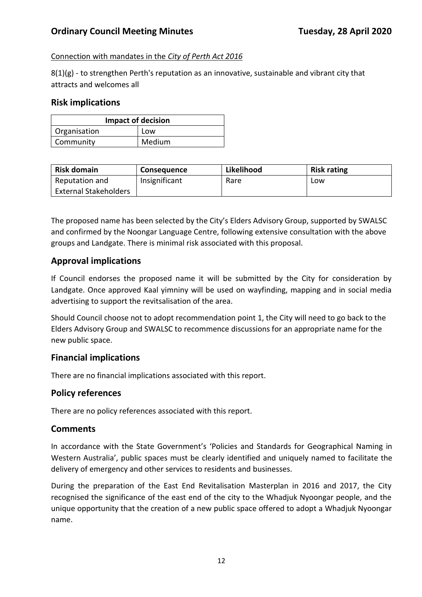#### Connection with mandates in the *City of Perth Act 2016*

8(1)(g) - to strengthen Perth's reputation as an innovative, sustainable and vibrant city that attracts and welcomes all

#### **Risk implications**

| <b>Impact of decision</b> |        |
|---------------------------|--------|
| Organisation              | Low    |
| Community                 | Medium |

| <b>Risk domain</b>           | <b>Consequence</b> | Likelihood | <b>Risk rating</b> |
|------------------------------|--------------------|------------|--------------------|
| Reputation and               | Insignificant      | Rare       | Low                |
| <b>External Stakeholders</b> |                    |            |                    |

The proposed name has been selected by the City's Elders Advisory Group, supported by SWALSC and confirmed by the Noongar Language Centre, following extensive consultation with the above groups and Landgate. There is minimal risk associated with this proposal.

## **Approval implications**

If Council endorses the proposed name it will be submitted by the City for consideration by Landgate. Once approved Kaal yimniny will be used on wayfinding, mapping and in social media advertising to support the revitsalisation of the area.

Should Council choose not to adopt recommendation point 1, the City will need to go back to the Elders Advisory Group and SWALSC to recommence discussions for an appropriate name for the new public space.

#### **Financial implications**

There are no financial implications associated with this report.

#### **Policy references**

There are no policy references associated with this report.

#### **Comments**

In accordance with the State Government's 'Policies and Standards for Geographical Naming in Western Australia', public spaces must be clearly identified and uniquely named to facilitate the delivery of emergency and other services to residents and businesses.

During the preparation of the East End Revitalisation Masterplan in 2016 and 2017, the City recognised the significance of the east end of the city to the Whadjuk Nyoongar people, and the unique opportunity that the creation of a new public space offered to adopt a Whadjuk Nyoongar name.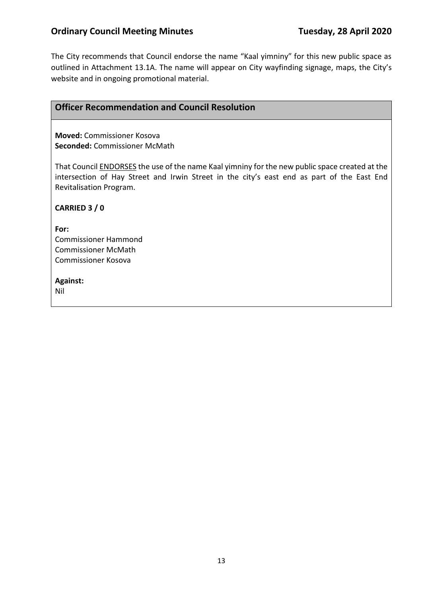The City recommends that Council endorse the name "Kaal yimniny" for this new public space as outlined in Attachment 13.1A. The name will appear on City wayfinding signage, maps, the City's website and in ongoing promotional material.

## **Officer Recommendation and Council Resolution**

**Moved:** Commissioner Kosova **Seconded:** Commissioner McMath

That Council ENDORSES the use of the name Kaal yimniny for the new public space created at the intersection of Hay Street and Irwin Street in the city's east end as part of the East End Revitalisation Program.

**CARRIED 3 / 0**

**For:**  Commissioner Hammond Commissioner McMath Commissioner Kosova

**Against:** 

Nil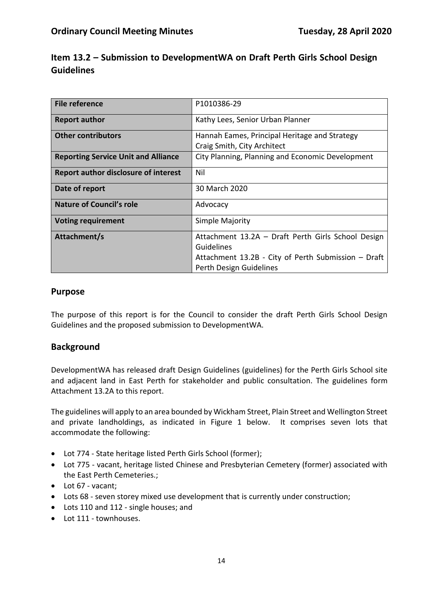| Item 13.2 – Submission to DevelopmentWA on Draft Perth Girls School Design |  |  |
|----------------------------------------------------------------------------|--|--|
| <b>Guidelines</b>                                                          |  |  |

| <b>File reference</b>                       | P1010386-29                                         |
|---------------------------------------------|-----------------------------------------------------|
| <b>Report author</b>                        | Kathy Lees, Senior Urban Planner                    |
| <b>Other contributors</b>                   | Hannah Eames, Principal Heritage and Strategy       |
|                                             | Craig Smith, City Architect                         |
| <b>Reporting Service Unit and Alliance</b>  | City Planning, Planning and Economic Development    |
| <b>Report author disclosure of interest</b> | Nil                                                 |
| Date of report                              | 30 March 2020                                       |
| Nature of Council's role                    | Advocacy                                            |
| <b>Voting requirement</b>                   | Simple Majority                                     |
| Attachment/s                                | Attachment 13.2A - Draft Perth Girls School Design  |
|                                             | Guidelines                                          |
|                                             | Attachment 13.2B - City of Perth Submission - Draft |
|                                             | Perth Design Guidelines                             |

#### **Purpose**

The purpose of this report is for the Council to consider the draft Perth Girls School Design Guidelines and the proposed submission to DevelopmentWA.

#### **Background**

DevelopmentWA has released draft Design Guidelines (guidelines) for the Perth Girls School site and adjacent land in East Perth for stakeholder and public consultation. The guidelines form Attachment 13.2A to this report.

The guidelines will apply to an area bounded by Wickham Street, Plain Street and Wellington Street and private landholdings, as indicated in Figure 1 below. It comprises seven lots that accommodate the following:

- Lot 774 State heritage listed Perth Girls School (former);
- Lot 775 vacant, heritage listed Chinese and Presbyterian Cemetery (former) associated with the East Perth Cemeteries.;
- Lot 67 vacant;
- Lots 68 seven storey mixed use development that is currently under construction;
- Lots 110 and 112 single houses; and
- Lot 111 townhouses.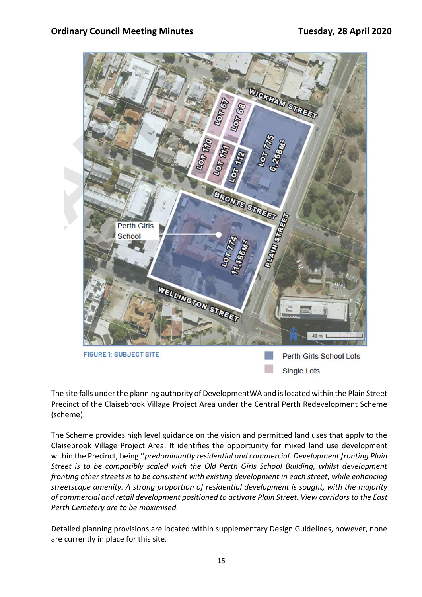

The site falls under the planning authority of DevelopmentWA and is located within the Plain Street Precinct of the Claisebrook Village Project Area under the Central Perth Redevelopment Scheme (scheme).

The Scheme provides high level guidance on the vision and permitted land uses that apply to the Claisebrook Village Project Area. It identifies the opportunity for mixed land use development within the Precinct, being ''*predominantly residential and commercial. Development fronting Plain Street is to be compatibly scaled with the Old Perth Girls School Building, whilst development fronting other streets is to be consistent with existing development in each street, while enhancing streetscape amenity. A strong proportion of residential development is sought, with the majority of commercial and retail development positioned to activate Plain Street. View corridors to the East Perth Cemetery are to be maximised.*

Detailed planning provisions are located within supplementary Design Guidelines, however, none are currently in place for this site.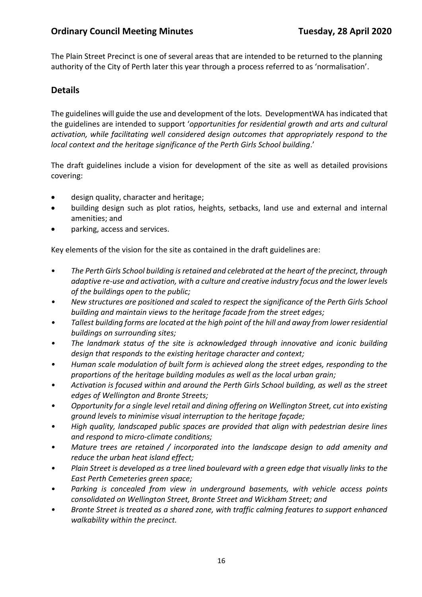The Plain Street Precinct is one of several areas that are intended to be returned to the planning authority of the City of Perth later this year through a process referred to as 'normalisation'.

## **Details**

The guidelines will guide the use and development of the lots. DevelopmentWA has indicated that the guidelines are intended to support '*opportunities for residential growth and arts and cultural activation, while facilitating well considered design outcomes that appropriately respond to the local context and the heritage significance of the Perth Girls School building*.'

The draft guidelines include a vision for development of the site as well as detailed provisions covering:

- design quality, character and heritage;
- building design such as plot ratios, heights, setbacks, land use and external and internal amenities; and
- parking, access and services.

Key elements of the vision for the site as contained in the draft guidelines are:

- *The Perth Girls School building is retained and celebrated at the heart of the precinct, through adaptive re-use and activation, with a culture and creative industry focus and the lower levels of the buildings open to the public;*
- *• New structures are positioned and scaled to respect the significance of the Perth Girls School building and maintain views to the heritage facade from the street edges;*
- *• Tallest building forms are located at the high point of the hill and away from lower residential buildings on surrounding sites;*
- *• The landmark status of the site is acknowledged through innovative and iconic building design that responds to the existing heritage character and context;*
- *• Human scale modulation of built form is achieved along the street edges, responding to the proportions of the heritage building modules as well as the local urban grain;*
- *• Activation is focused within and around the Perth Girls School building, as well as the street edges of Wellington and Bronte Streets;*
- *• Opportunity for a single level retail and dining offering on Wellington Street, cut into existing ground levels to minimise visual interruption to the heritage façade;*
- *• High quality, landscaped public spaces are provided that align with pedestrian desire lines and respond to micro-climate conditions;*
- *• Mature trees are retained / incorporated into the landscape design to add amenity and reduce the urban heat island effect;*
- *• Plain Street is developed as a tree lined boulevard with a green edge that visually links to the East Perth Cemeteries green space;*
- *• Parking is concealed from view in underground basements, with vehicle access points consolidated on Wellington Street, Bronte Street and Wickham Street; and*
- *• Bronte Street is treated as a shared zone, with traffic calming features to support enhanced walkability within the precinct.*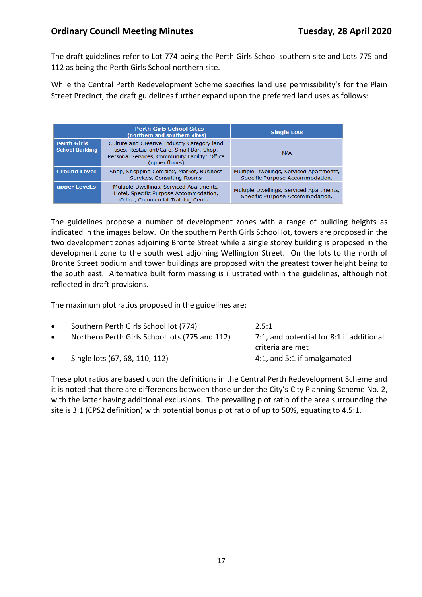The draft guidelines refer to Lot 774 being the Perth Girls School southern site and Lots 775 and 112 as being the Perth Girls School northern site.

While the Central Perth Redevelopment Scheme specifies land use permissibility's for the Plain Street Precinct, the draft guidelines further expand upon the preferred land uses as follows:

|                                              | <b>Perth Girls School Sites</b><br>(northern and southern sites)                                                                                          | <b>Single Lots</b>                                                          |
|----------------------------------------------|-----------------------------------------------------------------------------------------------------------------------------------------------------------|-----------------------------------------------------------------------------|
| <b>Perth Girls</b><br><b>School Building</b> | Culture and Creative Industry Category land<br>uses, Restaurant/Cafe, Small Bar, Shop,<br>Personal Services, Community Facility; Office<br>(upper floors) | N/A                                                                         |
| <b>Ground LeveL</b>                          | Shop, Shopping Complex, Market, Business<br>Services, Consulting Rooms                                                                                    | Multiple Dwellings, Serviced Apartments,<br>Specific Purpose Accommodation. |
| upper LeveLs                                 | Multiple Dwellings, Serviced Apartments,<br>Hotel, Specific Purpose Accommodation,<br>Office, Commercial Training Centre.                                 | Multiple Dwellings, Serviced Apartments,<br>Specific Purpose Accommodation. |

The guidelines propose a number of development zones with a range of building heights as indicated in the images below. On the southern Perth Girls School lot, towers are proposed in the two development zones adjoining Bronte Street while a single storey building is proposed in the development zone to the south west adjoining Wellington Street. On the lots to the north of Bronte Street podium and tower buildings are proposed with the greatest tower height being to the south east. Alternative built form massing is illustrated within the guidelines, although not reflected in draft provisions.

The maximum plot ratios proposed in the guidelines are:

| $\bullet$ | Southern Perth Girls School lot (774)          | 2.5:1                                    |
|-----------|------------------------------------------------|------------------------------------------|
| $\bullet$ | Northern Perth Girls School lots (775 and 112) | 7:1, and potential for 8:1 if additional |
|           |                                                | criteria are met                         |
| $\bullet$ | Single lots (67, 68, 110, 112)                 | 4:1, and 5:1 if amalgamated              |

These plot ratios are based upon the definitions in the Central Perth Redevelopment Scheme and it is noted that there are differences between those under the City's City Planning Scheme No. 2, with the latter having additional exclusions. The prevailing plot ratio of the area surrounding the site is 3:1 (CPS2 definition) with potential bonus plot ratio of up to 50%, equating to 4.5:1.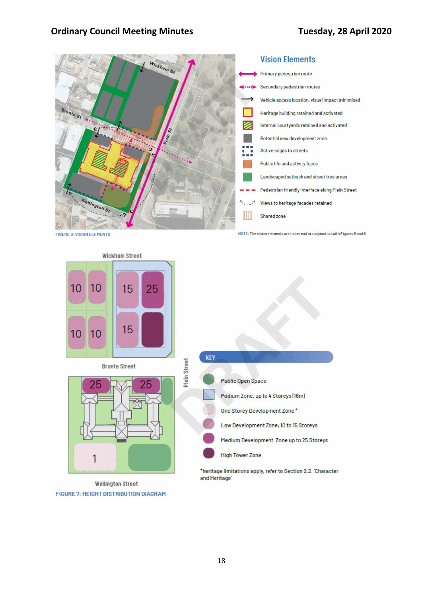

**Wickham Street** 10 15 25 10 15 10 10 **KEY** Plain Street **Bronte Street Public Open Space** Podium Zone, up to 4 Storeys (16m) One Storey Development Zone\* Low Development Zone, 10 to 15 Storeys Medium Development Zone up to 25 Storeys **High Tower Zone** 1 \*heritage limitations apply, refer to Section 2.2. 'Character and Heritage' **Wellington Street** 

**FIGURE 7: HEIGHT DISTRIBUTION DIAGRAM**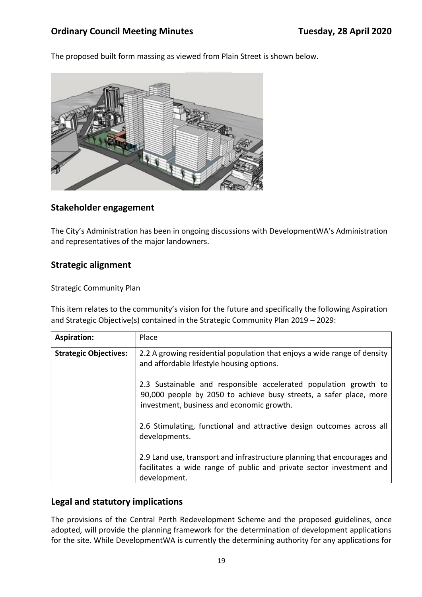The proposed built form massing as viewed from Plain Street is shown below.



#### **Stakeholder engagement**

The City's Administration has been in ongoing discussions with DevelopmentWA's Administration and representatives of the major landowners.

#### **Strategic alignment**

#### Strategic Community Plan

This item relates to the community's vision for the future and specifically the following Aspiration and Strategic Objective(s) contained in the Strategic Community Plan 2019 – 2029:

| <b>Aspiration:</b>           | Place                                                                                                                                                                               |
|------------------------------|-------------------------------------------------------------------------------------------------------------------------------------------------------------------------------------|
| <b>Strategic Objectives:</b> | 2.2 A growing residential population that enjoys a wide range of density<br>and affordable lifestyle housing options.                                                               |
|                              | 2.3 Sustainable and responsible accelerated population growth to<br>90,000 people by 2050 to achieve busy streets, a safer place, more<br>investment, business and economic growth. |
|                              | 2.6 Stimulating, functional and attractive design outcomes across all<br>developments.                                                                                              |
|                              | 2.9 Land use, transport and infrastructure planning that encourages and<br>facilitates a wide range of public and private sector investment and<br>development.                     |

#### **Legal and statutory implications**

The provisions of the Central Perth Redevelopment Scheme and the proposed guidelines, once adopted, will provide the planning framework for the determination of development applications for the site. While DevelopmentWA is currently the determining authority for any applications for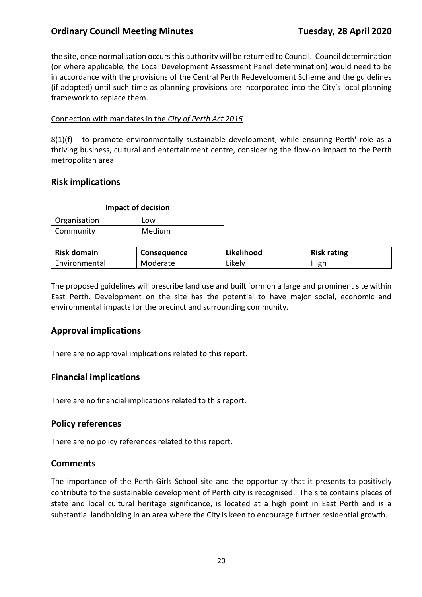the site, once normalisation occurs this authority will be returned to Council. Council determination (or where applicable, the Local Development Assessment Panel determination) would need to be in accordance with the provisions of the Central Perth Redevelopment Scheme and the guidelines (if adopted) until such time as planning provisions are incorporated into the City's local planning framework to replace them.

#### Connection with mandates in the *City of Perth Act 2016*

8(1)(f) - to promote environmentally sustainable development, while ensuring Perth' role as a thriving business, cultural and entertainment centre, considering the flow-on impact to the Perth metropolitan area

#### **Risk implications**

| <b>Impact of decision</b> |        |
|---------------------------|--------|
| Organisation              | Low    |
| Community                 | Medium |

| <b>Risk domain</b> | <b>Consequence</b> | Likelihood | <b>Risk rating</b> |
|--------------------|--------------------|------------|--------------------|
| Environmental      | Moderate           | Likelv     | High               |

The proposed guidelines will prescribe land use and built form on a large and prominent site within East Perth. Development on the site has the potential to have major social, economic and environmental impacts for the precinct and surrounding community.

#### **Approval implications**

There are no approval implications related to this report.

#### **Financial implications**

There are no financial implications related to this report.

#### **Policy references**

There are no policy references related to this report.

#### **Comments**

The importance of the Perth Girls School site and the opportunity that it presents to positively contribute to the sustainable development of Perth city is recognised. The site contains places of state and local cultural heritage significance, is located at a high point in East Perth and is a substantial landholding in an area where the City is keen to encourage further residential growth.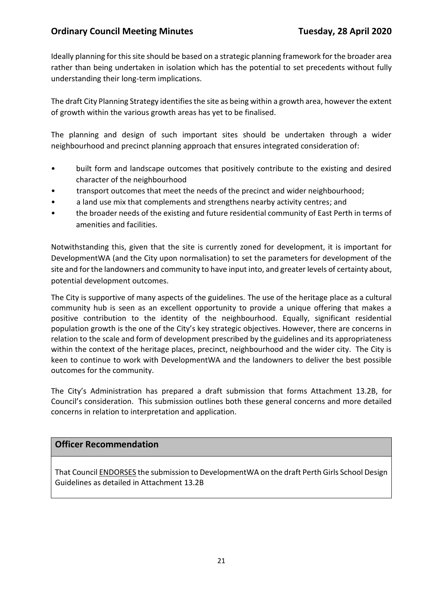Ideally planning for this site should be based on a strategic planning framework for the broader area rather than being undertaken in isolation which has the potential to set precedents without fully understanding their long-term implications.

The draft City Planning Strategy identifies the site as being within a growth area, however the extent of growth within the various growth areas has yet to be finalised.

The planning and design of such important sites should be undertaken through a wider neighbourhood and precinct planning approach that ensures integrated consideration of:

- built form and landscape outcomes that positively contribute to the existing and desired character of the neighbourhood
- transport outcomes that meet the needs of the precinct and wider neighbourhood;
- a land use mix that complements and strengthens nearby activity centres; and
- the broader needs of the existing and future residential community of East Perth in terms of amenities and facilities.

Notwithstanding this, given that the site is currently zoned for development, it is important for DevelopmentWA (and the City upon normalisation) to set the parameters for development of the site and for the landowners and community to have input into, and greater levels of certainty about, potential development outcomes.

The City is supportive of many aspects of the guidelines. The use of the heritage place as a cultural community hub is seen as an excellent opportunity to provide a unique offering that makes a positive contribution to the identity of the neighbourhood. Equally, significant residential population growth is the one of the City's key strategic objectives. However, there are concerns in relation to the scale and form of development prescribed by the guidelines and its appropriateness within the context of the heritage places, precinct, neighbourhood and the wider city. The City is keen to continue to work with DevelopmentWA and the landowners to deliver the best possible outcomes for the community.

The City's Administration has prepared a draft submission that forms Attachment 13.2B, for Council's consideration. This submission outlines both these general concerns and more detailed concerns in relation to interpretation and application.

#### **Officer Recommendation**

That Council ENDORSES the submission to DevelopmentWA on the draft Perth Girls School Design Guidelines as detailed in Attachment 13.2B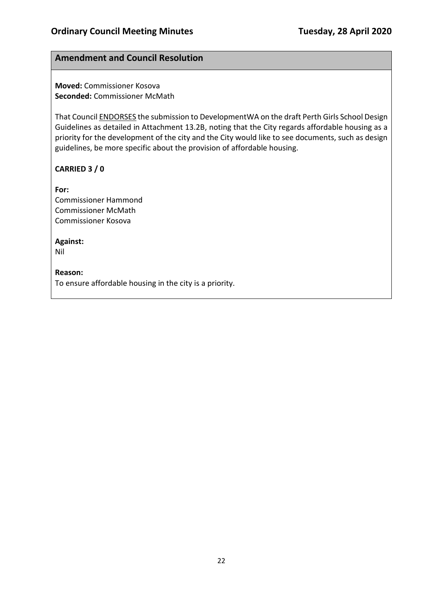## **Amendment and Council Resolution**

**Moved:** Commissioner Kosova **Seconded:** Commissioner McMath

That Council ENDORSES the submission to DevelopmentWA on the draft Perth Girls School Design Guidelines as detailed in Attachment 13.2B, noting that the City regards affordable housing as a priority for the development of the city and the City would like to see documents, such as design guidelines, be more specific about the provision of affordable housing.

## **CARRIED 3 / 0**

**For:**  Commissioner Hammond Commissioner McMath Commissioner Kosova

#### **Against:**

Nil

#### **Reason:**

To ensure affordable housing in the city is a priority.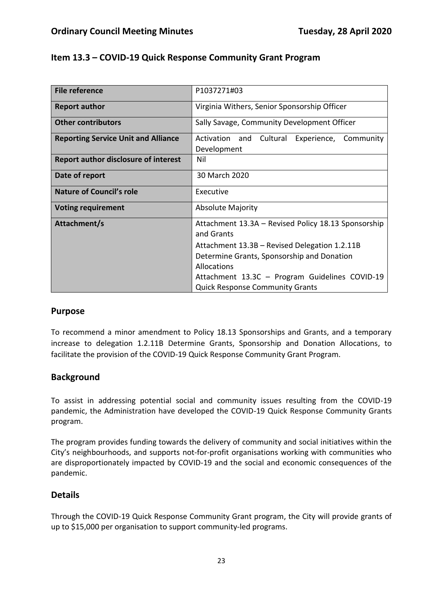| Item 13.3 – COVID-19 Quick Response Community Grant Program |  |
|-------------------------------------------------------------|--|
|-------------------------------------------------------------|--|

| <b>File reference</b>                       | P1037271#03                                                                                                |  |
|---------------------------------------------|------------------------------------------------------------------------------------------------------------|--|
| <b>Report author</b>                        | Virginia Withers, Senior Sponsorship Officer                                                               |  |
| <b>Other contributors</b>                   | Sally Savage, Community Development Officer                                                                |  |
| <b>Reporting Service Unit and Alliance</b>  | Activation and Cultural<br>Experience, Community<br>Development                                            |  |
| <b>Report author disclosure of interest</b> | Nil                                                                                                        |  |
| Date of report                              | 30 March 2020                                                                                              |  |
| <b>Nature of Council's role</b>             | Executive                                                                                                  |  |
| <b>Voting requirement</b>                   | <b>Absolute Majority</b>                                                                                   |  |
| Attachment/s                                | Attachment 13.3A - Revised Policy 18.13 Sponsorship<br>and Grants                                          |  |
|                                             | Attachment 13.3B - Revised Delegation 1.2.11B<br>Determine Grants, Sponsorship and Donation<br>Allocations |  |
|                                             | Attachment 13.3C - Program Guidelines COVID-19<br><b>Quick Response Community Grants</b>                   |  |

#### **Purpose**

To recommend a minor amendment to Policy 18.13 Sponsorships and Grants, and a temporary increase to delegation 1.2.11B Determine Grants, Sponsorship and Donation Allocations, to facilitate the provision of the COVID-19 Quick Response Community Grant Program.

#### **Background**

To assist in addressing potential social and community issues resulting from the COVID-19 pandemic, the Administration have developed the COVID-19 Quick Response Community Grants program.

The program provides funding towards the delivery of community and social initiatives within the City's neighbourhoods, and supports not-for-profit organisations working with communities who are disproportionately impacted by COVID-19 and the social and economic consequences of the pandemic.

#### **Details**

Through the COVID-19 Quick Response Community Grant program, the City will provide grants of up to \$15,000 per organisation to support community-led programs.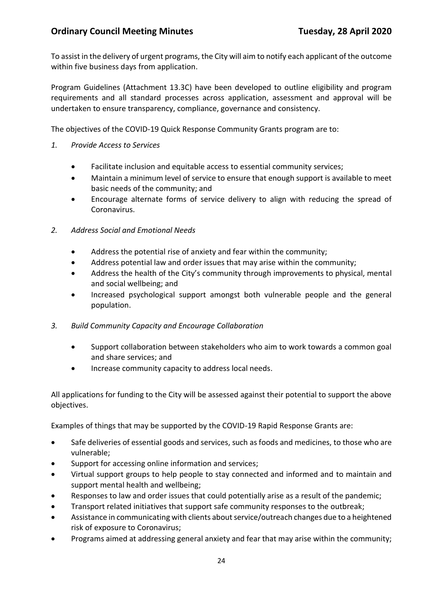To assist in the delivery of urgent programs, the City will aim to notify each applicant of the outcome within five business days from application.

Program Guidelines (Attachment 13.3C) have been developed to outline eligibility and program requirements and all standard processes across application, assessment and approval will be undertaken to ensure transparency, compliance, governance and consistency.

The objectives of the COVID-19 Quick Response Community Grants program are to:

- *1. Provide Access to Services*
	- Facilitate inclusion and equitable access to essential community services;
	- Maintain a minimum level of service to ensure that enough support is available to meet basic needs of the community; and
	- Encourage alternate forms of service delivery to align with reducing the spread of Coronavirus.
- *2. Address Social and Emotional Needs*
	- Address the potential rise of anxiety and fear within the community;
	- Address potential law and order issues that may arise within the community;
	- Address the health of the City's community through improvements to physical, mental and social wellbeing; and
	- Increased psychological support amongst both vulnerable people and the general population.
- *3. Build Community Capacity and Encourage Collaboration*
	- Support collaboration between stakeholders who aim to work towards a common goal and share services; and
	- Increase community capacity to address local needs.

All applications for funding to the City will be assessed against their potential to support the above objectives.

Examples of things that may be supported by the COVID-19 Rapid Response Grants are:

- Safe deliveries of essential goods and services, such as foods and medicines, to those who are vulnerable;
- Support for accessing online information and services;
- Virtual support groups to help people to stay connected and informed and to maintain and support mental health and wellbeing;
- Responses to law and order issues that could potentially arise as a result of the pandemic;
- Transport related initiatives that support safe community responses to the outbreak;
- Assistance in communicating with clients about service/outreach changes due to a heightened risk of exposure to Coronavirus;
- Programs aimed at addressing general anxiety and fear that may arise within the community;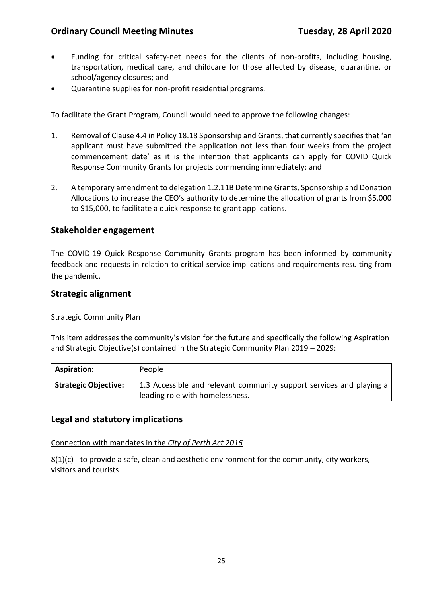- Funding for critical safety-net needs for the clients of non-profits, including housing, transportation, medical care, and childcare for those affected by disease, quarantine, or school/agency closures; and
- Quarantine supplies for non-profit residential programs.

To facilitate the Grant Program, Council would need to approve the following changes:

- 1. Removal of Clause 4.4 in Policy 18.18 Sponsorship and Grants, that currently specifies that 'an applicant must have submitted the application not less than four weeks from the project commencement date' as it is the intention that applicants can apply for COVID Quick Response Community Grants for projects commencing immediately; and
- 2. A temporary amendment to delegation 1.2.11B Determine Grants, Sponsorship and Donation Allocations to increase the CEO's authority to determine the allocation of grants from \$5,000 to \$15,000, to facilitate a quick response to grant applications.

#### **Stakeholder engagement**

The COVID-19 Quick Response Community Grants program has been informed by community feedback and requests in relation to critical service implications and requirements resulting from the pandemic.

#### **Strategic alignment**

#### Strategic Community Plan

This item addresses the community's vision for the future and specifically the following Aspiration and Strategic Objective(s) contained in the Strategic Community Plan 2019 – 2029:

| <b>Aspiration:</b>          | People                                                                                                  |
|-----------------------------|---------------------------------------------------------------------------------------------------------|
| <b>Strategic Objective:</b> | 1.3 Accessible and relevant community support services and playing a<br>leading role with homelessness. |

#### **Legal and statutory implications**

Connection with mandates in the *City of Perth Act 2016*

 $8(1)(c)$  - to provide a safe, clean and aesthetic environment for the community, city workers, visitors and tourists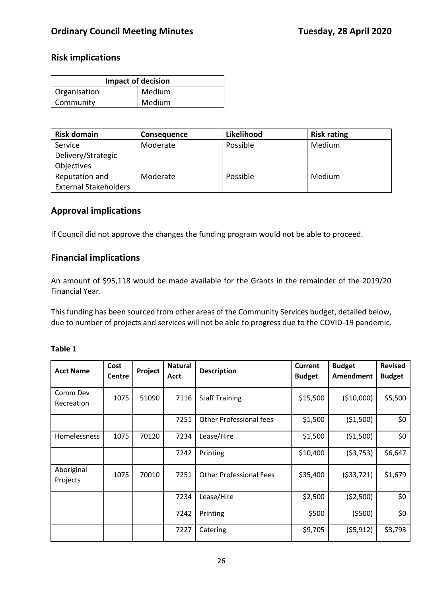## **Risk implications**

| <b>Impact of decision</b> |        |  |
|---------------------------|--------|--|
| Organisation              | Medium |  |
| Community                 | Medium |  |

| <b>Risk domain</b>           | <b>Consequence</b> | Likelihood | <b>Risk rating</b> |
|------------------------------|--------------------|------------|--------------------|
| Service                      | Moderate           | Possible   | Medium             |
| Delivery/Strategic           |                    |            |                    |
| Objectives                   |                    |            |                    |
| Reputation and               | Moderate           | Possible   | Medium             |
| <b>External Stakeholders</b> |                    |            |                    |

## **Approval implications**

If Council did not approve the changes the funding program would not be able to proceed.

#### **Financial implications**

An amount of \$95,118 would be made available for the Grants in the remainder of the 2019/20 Financial Year.

This funding has been sourced from other areas of the Community Services budget, detailed below, due to number of projects and services will not be able to progress due to the COVID-19 pandemic.

| <b>Acct Name</b>       | Cost<br><b>Centre</b> | Project | <b>Natural</b><br>Acct | <b>Description</b>             | <b>Current</b><br><b>Budget</b> | <b>Budget</b><br>Amendment | <b>Revised</b><br><b>Budget</b> |
|------------------------|-----------------------|---------|------------------------|--------------------------------|---------------------------------|----------------------------|---------------------------------|
| Comm Dev<br>Recreation | 1075                  | 51090   | 7116                   | <b>Staff Training</b>          | \$15,500                        | (\$10,000)                 | \$5,500                         |
|                        |                       |         | 7251                   | <b>Other Professional fees</b> | \$1,500                         | ( \$1,500)                 | \$0                             |
| <b>Homelessness</b>    | 1075                  | 70120   | 7234                   | Lease/Hire                     | \$1,500                         | ( \$1,500)                 | \$0                             |
|                        |                       |         | 7242                   | Printing                       | \$10,400                        | (53, 753)                  | \$6,647                         |
| Aboriginal<br>Projects | 1075                  | 70010   | 7251                   | <b>Other Professional Fees</b> | \$35,400                        | ( \$33, 721)               | \$1,679                         |
|                        |                       |         | 7234                   | Lease/Hire                     | \$2,500                         | (52,500)                   | \$0\$                           |
|                        |                       |         | 7242                   | Printing                       | \$500                           | (5500)                     | \$0                             |
|                        |                       |         | 7227                   | Catering                       | \$9,705                         | (55, 912)                  | \$3,793                         |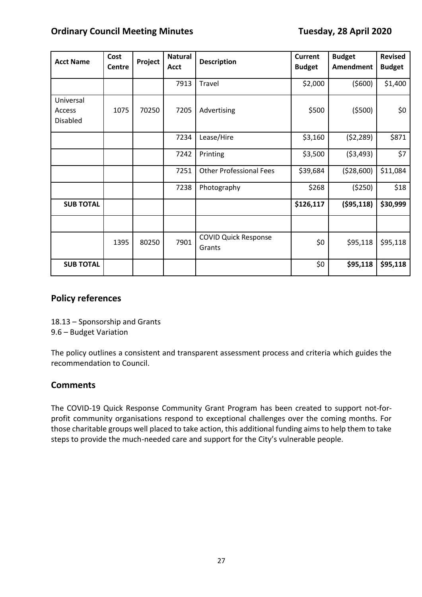| <b>Acct Name</b>                       | Cost<br>Centre | Project | <b>Natural</b><br><b>Acct</b> | <b>Description</b>                    | Current<br><b>Budget</b> | <b>Budget</b><br><b>Amendment</b> | <b>Revised</b><br><b>Budget</b> |
|----------------------------------------|----------------|---------|-------------------------------|---------------------------------------|--------------------------|-----------------------------------|---------------------------------|
|                                        |                |         | 7913                          | Travel                                | \$2,000                  | (5600)                            | \$1,400                         |
| Universal<br>Access<br><b>Disabled</b> | 1075           | 70250   | 7205                          | Advertising                           | \$500                    | (5500)                            | \$0                             |
|                                        |                |         | 7234                          | Lease/Hire                            | \$3,160                  | (52, 289)                         | \$871                           |
|                                        |                |         | 7242                          | Printing                              | \$3,500                  | (53, 493)                         | \$7                             |
|                                        |                |         | 7251                          | <b>Other Professional Fees</b>        | \$39,684                 | (528,600)                         | \$11,084                        |
|                                        |                |         | 7238                          | Photography                           | \$268                    | (5250)                            | \$18                            |
| <b>SUB TOTAL</b>                       |                |         |                               |                                       | \$126,117                | ( \$95,118)                       | \$30,999                        |
|                                        |                |         |                               |                                       |                          |                                   |                                 |
|                                        | 1395           | 80250   | 7901                          | <b>COVID Quick Response</b><br>Grants | \$0                      | \$95,118                          | \$95,118                        |
| <b>SUB TOTAL</b>                       |                |         |                               |                                       | \$0                      | \$95,118                          | \$95,118                        |

### **Policy references**

18.13 – Sponsorship and Grants 9.6 – Budget Variation

The policy outlines a consistent and transparent assessment process and criteria which guides the recommendation to Council.

#### **Comments**

The COVID-19 Quick Response Community Grant Program has been created to support not-forprofit community organisations respond to exceptional challenges over the coming months. For those charitable groups well placed to take action, this additional funding aims to help them to take steps to provide the much-needed care and support for the City's vulnerable people.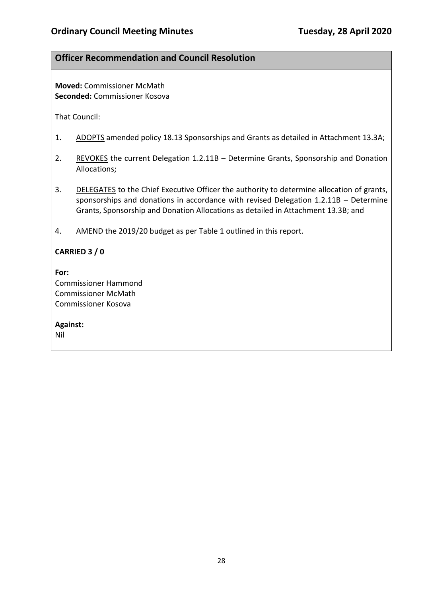#### **Officer Recommendation and Council Resolution**

**Moved:** Commissioner McMath **Seconded:** Commissioner Kosova

That Council:

- 1. ADOPTS amended policy 18.13 Sponsorships and Grants as detailed in Attachment 13.3A;
- 2. REVOKES the current Delegation 1.2.11B Determine Grants, Sponsorship and Donation Allocations;
- 3. DELEGATES to the Chief Executive Officer the authority to determine allocation of grants, sponsorships and donations in accordance with revised Delegation 1.2.11B – Determine Grants, Sponsorship and Donation Allocations as detailed in Attachment 13.3B; and
- 4. AMEND the 2019/20 budget as per Table 1 outlined in this report.

#### **CARRIED 3 / 0**

**For:**  Commissioner Hammond Commissioner McMath Commissioner Kosova

**Against:** 

Nil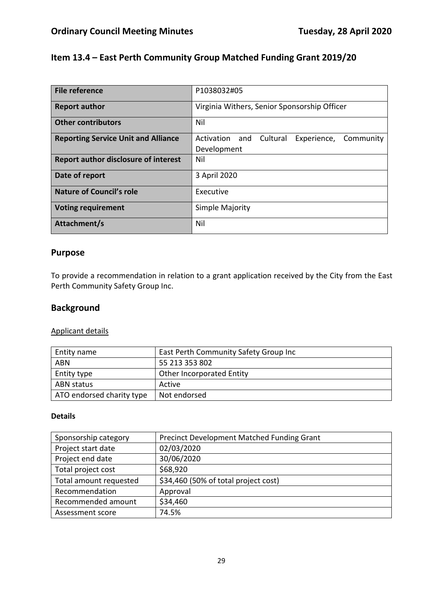## **Item 13.4 – East Perth Community Group Matched Funding Grant 2019/20**

| <b>File reference</b>                      | P1038032#05                                                        |  |
|--------------------------------------------|--------------------------------------------------------------------|--|
| <b>Report author</b>                       | Virginia Withers, Senior Sponsorship Officer                       |  |
| <b>Other contributors</b>                  | Nil                                                                |  |
| <b>Reporting Service Unit and Alliance</b> | Activation and<br>Cultural<br>Experience, Community<br>Development |  |
| Report author disclosure of interest       | Nil                                                                |  |
| Date of report                             | 3 April 2020                                                       |  |
| <b>Nature of Council's role</b>            | Executive                                                          |  |
| <b>Voting requirement</b>                  | Simple Majority                                                    |  |
| Attachment/s                               | Nil                                                                |  |

#### **Purpose**

To provide a recommendation in relation to a grant application received by the City from the East Perth Community Safety Group Inc.

## **Background**

#### Applicant details

| Entity name               | East Perth Community Safety Group Inc |
|---------------------------|---------------------------------------|
| <b>ABN</b>                | 55 213 353 802                        |
| Entity type               | <b>Other Incorporated Entity</b>      |
| ABN status                | Active                                |
| ATO endorsed charity type | Not endorsed                          |

#### **Details**

| Sponsorship category   | Precinct Development Matched Funding Grant |
|------------------------|--------------------------------------------|
| Project start date     | 02/03/2020                                 |
| Project end date       | 30/06/2020                                 |
| Total project cost     | \$68,920                                   |
| Total amount requested | \$34,460 (50% of total project cost)       |
| Recommendation         | Approval                                   |
| Recommended amount     | \$34,460                                   |
| Assessment score       | 74.5%                                      |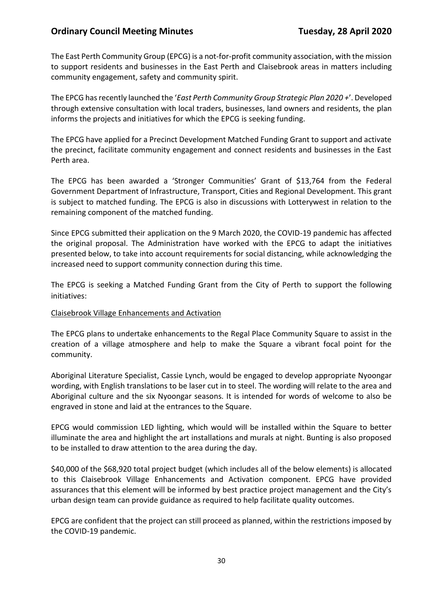The East Perth Community Group (EPCG) is a not-for-profit community association, with the mission to support residents and businesses in the East Perth and Claisebrook areas in matters including community engagement, safety and community spirit.

The EPCG has recently launched the '*East Perth Community Group Strategic Plan 2020 +*'. Developed through extensive consultation with local traders, businesses, land owners and residents, the plan informs the projects and initiatives for which the EPCG is seeking funding.

The EPCG have applied for a Precinct Development Matched Funding Grant to support and activate the precinct, facilitate community engagement and connect residents and businesses in the East Perth area.

The EPCG has been awarded a 'Stronger Communities' Grant of \$13,764 from the Federal Government Department of Infrastructure, Transport, Cities and Regional Development. This grant is subject to matched funding. The EPCG is also in discussions with Lotterywest in relation to the remaining component of the matched funding.

Since EPCG submitted their application on the 9 March 2020, the COVID-19 pandemic has affected the original proposal. The Administration have worked with the EPCG to adapt the initiatives presented below, to take into account requirements for social distancing, while acknowledging the increased need to support community connection during this time.

The EPCG is seeking a Matched Funding Grant from the City of Perth to support the following initiatives:

#### Claisebrook Village Enhancements and Activation

The EPCG plans to undertake enhancements to the Regal Place Community Square to assist in the creation of a village atmosphere and help to make the Square a vibrant focal point for the community.

Aboriginal Literature Specialist, Cassie Lynch, would be engaged to develop appropriate Nyoongar wording, with English translations to be laser cut in to steel. The wording will relate to the area and Aboriginal culture and the six Nyoongar seasons. It is intended for words of welcome to also be engraved in stone and laid at the entrances to the Square.

EPCG would commission LED lighting, which would will be installed within the Square to better illuminate the area and highlight the art installations and murals at night. Bunting is also proposed to be installed to draw attention to the area during the day.

\$40,000 of the \$68,920 total project budget (which includes all of the below elements) is allocated to this Claisebrook Village Enhancements and Activation component. EPCG have provided assurances that this element will be informed by best practice project management and the City's urban design team can provide guidance as required to help facilitate quality outcomes.

EPCG are confident that the project can still proceed as planned, within the restrictions imposed by the COVID-19 pandemic.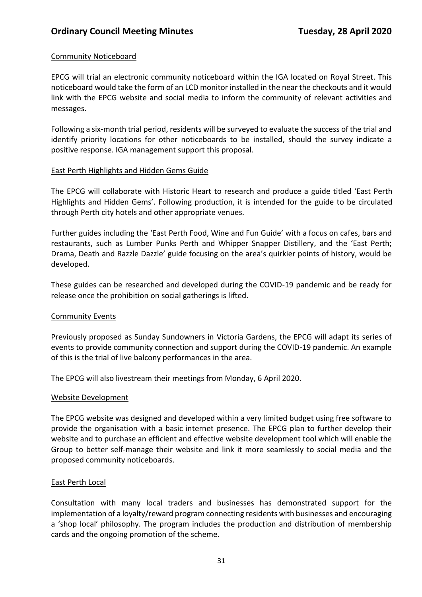#### Community Noticeboard

EPCG will trial an electronic community noticeboard within the IGA located on Royal Street. This noticeboard would take the form of an LCD monitor installed in the near the checkouts and it would link with the EPCG website and social media to inform the community of relevant activities and messages.

Following a six-month trial period, residents will be surveyed to evaluate the success of the trial and identify priority locations for other noticeboards to be installed, should the survey indicate a positive response. IGA management support this proposal.

#### East Perth Highlights and Hidden Gems Guide

The EPCG will collaborate with Historic Heart to research and produce a guide titled 'East Perth Highlights and Hidden Gems'. Following production, it is intended for the guide to be circulated through Perth city hotels and other appropriate venues.

Further guides including the 'East Perth Food, Wine and Fun Guide' with a focus on cafes, bars and restaurants, such as Lumber Punks Perth and Whipper Snapper Distillery, and the 'East Perth; Drama, Death and Razzle Dazzle' guide focusing on the area's quirkier points of history, would be developed.

These guides can be researched and developed during the COVID-19 pandemic and be ready for release once the prohibition on social gatherings is lifted.

#### Community Events

Previously proposed as Sunday Sundowners in Victoria Gardens, the EPCG will adapt its series of events to provide community connection and support during the COVID-19 pandemic. An example of this is the trial of live balcony performances in the area.

The EPCG will also livestream their meetings from Monday, 6 April 2020.

#### Website Development

The EPCG website was designed and developed within a very limited budget using free software to provide the organisation with a basic internet presence. The EPCG plan to further develop their website and to purchase an efficient and effective website development tool which will enable the Group to better self-manage their website and link it more seamlessly to social media and the proposed community noticeboards.

#### East Perth Local

Consultation with many local traders and businesses has demonstrated support for the implementation of a loyalty/reward program connecting residents with businesses and encouraging a 'shop local' philosophy. The program includes the production and distribution of membership cards and the ongoing promotion of the scheme.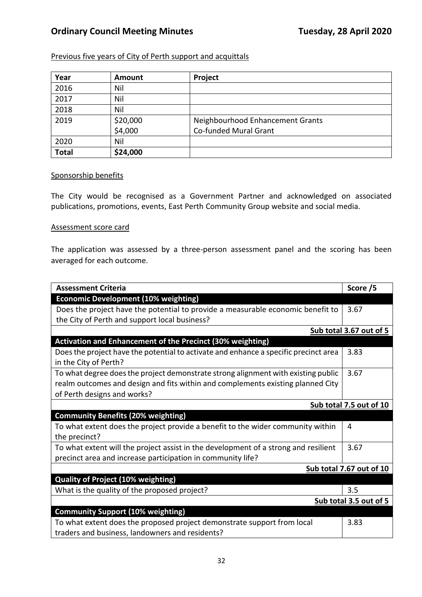#### Previous five years of City of Perth support and acquittals

| Year         | <b>Amount</b> | Project                          |
|--------------|---------------|----------------------------------|
| 2016         | Nil           |                                  |
| 2017         | Nil           |                                  |
| 2018         | Nil           |                                  |
| 2019         | \$20,000      | Neighbourhood Enhancement Grants |
|              | \$4,000       | Co-funded Mural Grant            |
| 2020         | Nil           |                                  |
| <b>Total</b> | \$24,000      |                                  |

#### Sponsorship benefits

The City would be recognised as a Government Partner and acknowledged on associated publications, promotions, events, East Perth Community Group website and social media.

#### Assessment score card

The application was assessed by a three-person assessment panel and the scoring has been averaged for each outcome.

| <b>Assessment Criteria</b>                                                           | Score /5                 |
|--------------------------------------------------------------------------------------|--------------------------|
| <b>Economic Development (10% weighting)</b>                                          |                          |
| Does the project have the potential to provide a measurable economic benefit to      | 3.67                     |
| the City of Perth and support local business?                                        |                          |
|                                                                                      | Sub total 3.67 out of 5  |
| <b>Activation and Enhancement of the Precinct (30% weighting)</b>                    |                          |
| Does the project have the potential to activate and enhance a specific precinct area | 3.83                     |
| in the City of Perth?                                                                |                          |
| To what degree does the project demonstrate strong alignment with existing public    | 3.67                     |
| realm outcomes and design and fits within and complements existing planned City      |                          |
| of Perth designs and works?                                                          |                          |
|                                                                                      | Sub total 7.5 out of 10  |
| <b>Community Benefits (20% weighting)</b>                                            |                          |
| To what extent does the project provide a benefit to the wider community within      | 4                        |
| the precinct?                                                                        |                          |
| To what extent will the project assist in the development of a strong and resilient  | 3.67                     |
| precinct area and increase participation in community life?                          |                          |
|                                                                                      | Sub total 7.67 out of 10 |
| <b>Quality of Project (10% weighting)</b>                                            |                          |
| What is the quality of the proposed project?                                         | 3.5                      |
|                                                                                      | Sub total 3.5 out of 5   |
| <b>Community Support (10% weighting)</b>                                             |                          |
| To what extent does the proposed project demonstrate support from local              | 3.83                     |
| traders and business, landowners and residents?                                      |                          |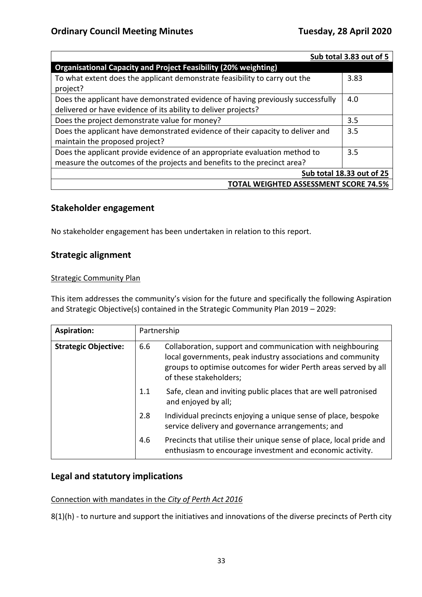|                                                                                 | Sub total 3.83 out of 5 |  |  |
|---------------------------------------------------------------------------------|-------------------------|--|--|
| <b>Organisational Capacity and Project Feasibility (20% weighting)</b>          |                         |  |  |
| To what extent does the applicant demonstrate feasibility to carry out the      | 3.83                    |  |  |
| project?                                                                        |                         |  |  |
| Does the applicant have demonstrated evidence of having previously successfully | 4.0                     |  |  |
| delivered or have evidence of its ability to deliver projects?                  |                         |  |  |
| Does the project demonstrate value for money?                                   | 3.5                     |  |  |
| Does the applicant have demonstrated evidence of their capacity to deliver and  | 3.5                     |  |  |
| maintain the proposed project?                                                  |                         |  |  |
| Does the applicant provide evidence of an appropriate evaluation method to      | 3.5                     |  |  |
| measure the outcomes of the projects and benefits to the precinct area?         |                         |  |  |
| Sub total 18.33 out of 25                                                       |                         |  |  |
| <b>TOTAL WEIGHTED ASSESSMENT SCORE 74.5%</b>                                    |                         |  |  |

### **Stakeholder engagement**

No stakeholder engagement has been undertaken in relation to this report.

## **Strategic alignment**

#### **Strategic Community Plan**

This item addresses the community's vision for the future and specifically the following Aspiration and Strategic Objective(s) contained in the Strategic Community Plan 2019 – 2029:

| <b>Aspiration:</b>                 |     | Partnership                                                                                                                                                                                                            |
|------------------------------------|-----|------------------------------------------------------------------------------------------------------------------------------------------------------------------------------------------------------------------------|
| 6.6<br><b>Strategic Objective:</b> |     | Collaboration, support and communication with neighbouring<br>local governments, peak industry associations and community<br>groups to optimise outcomes for wider Perth areas served by all<br>of these stakeholders; |
|                                    | 1.1 | Safe, clean and inviting public places that are well patronised<br>and enjoyed by all;                                                                                                                                 |
|                                    | 2.8 | Individual precincts enjoying a unique sense of place, bespoke<br>service delivery and governance arrangements; and                                                                                                    |
|                                    | 4.6 | Precincts that utilise their unique sense of place, local pride and<br>enthusiasm to encourage investment and economic activity.                                                                                       |

#### **Legal and statutory implications**

#### Connection with mandates in the *City of Perth Act 2016*

8(1)(h) - to nurture and support the initiatives and innovations of the diverse precincts of Perth city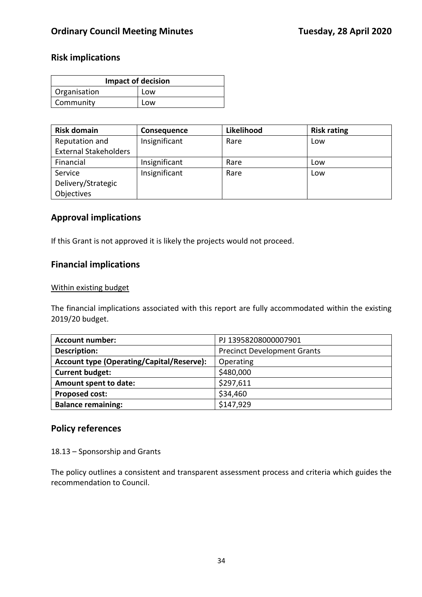## **Risk implications**

| <b>Impact of decision</b> |     |  |
|---------------------------|-----|--|
| Organisation              | Low |  |
| Community<br>Low          |     |  |

| <b>Risk domain</b>           | Consequence   | Likelihood | <b>Risk rating</b> |
|------------------------------|---------------|------------|--------------------|
| Reputation and               | Insignificant | Rare       | Low                |
| <b>External Stakeholders</b> |               |            |                    |
| Financial                    | Insignificant | Rare       | Low                |
| Service                      | Insignificant | Rare       | Low                |
| Delivery/Strategic           |               |            |                    |
| Objectives                   |               |            |                    |

#### **Approval implications**

If this Grant is not approved it is likely the projects would not proceed.

## **Financial implications**

#### Within existing budget

The financial implications associated with this report are fully accommodated within the existing 2019/20 budget.

| <b>Account number:</b>                           | PJ 13958208000007901               |
|--------------------------------------------------|------------------------------------|
| <b>Description:</b>                              | <b>Precinct Development Grants</b> |
| <b>Account type (Operating/Capital/Reserve):</b> | Operating                          |
| <b>Current budget:</b>                           | \$480,000                          |
| Amount spent to date:                            | \$297,611                          |
| <b>Proposed cost:</b>                            | \$34,460                           |
| <b>Balance remaining:</b>                        | \$147,929                          |

## **Policy references**

18.13 – Sponsorship and Grants

The policy outlines a consistent and transparent assessment process and criteria which guides the recommendation to Council.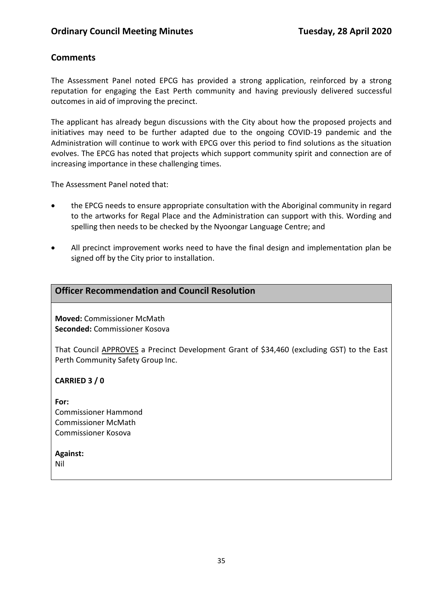## **Comments**

The Assessment Panel noted EPCG has provided a strong application, reinforced by a strong reputation for engaging the East Perth community and having previously delivered successful outcomes in aid of improving the precinct.

The applicant has already begun discussions with the City about how the proposed projects and initiatives may need to be further adapted due to the ongoing COVID-19 pandemic and the Administration will continue to work with EPCG over this period to find solutions as the situation evolves. The EPCG has noted that projects which support community spirit and connection are of increasing importance in these challenging times.

The Assessment Panel noted that:

- the EPCG needs to ensure appropriate consultation with the Aboriginal community in regard to the artworks for Regal Place and the Administration can support with this. Wording and spelling then needs to be checked by the Nyoongar Language Centre; and
- All precinct improvement works need to have the final design and implementation plan be signed off by the City prior to installation.

#### **Officer Recommendation and Council Resolution**

**Moved:** Commissioner McMath **Seconded:** Commissioner Kosova

That Council APPROVES a Precinct Development Grant of \$34,460 (excluding GST) to the East Perth Community Safety Group Inc.

#### **CARRIED 3 / 0**

**For:**  Commissioner Hammond Commissioner McMath Commissioner Kosova

#### **Against:**

Nil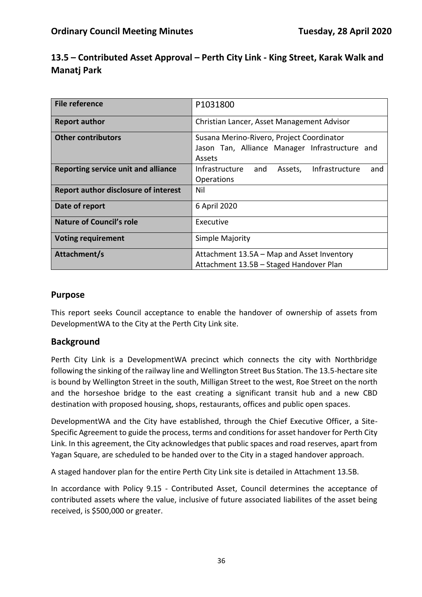| 13.5 – Contributed Asset Approval – Perth City Link - King Street, Karak Walk and |  |
|-----------------------------------------------------------------------------------|--|
| Manatj Park                                                                       |  |

| <b>File reference</b>                       | P1031800                                                                                              |  |  |
|---------------------------------------------|-------------------------------------------------------------------------------------------------------|--|--|
| <b>Report author</b>                        | Christian Lancer, Asset Management Advisor                                                            |  |  |
| <b>Other contributors</b>                   | Susana Merino-Rivero, Project Coordinator<br>Jason Tan, Alliance Manager Infrastructure and<br>Assets |  |  |
| Reporting service unit and alliance         | Infrastructure<br>Infrastructure<br>and<br>Assets,<br>and<br>Operations                               |  |  |
| <b>Report author disclosure of interest</b> | Nil                                                                                                   |  |  |
| Date of report                              | 6 April 2020                                                                                          |  |  |
| <b>Nature of Council's role</b>             | Executive                                                                                             |  |  |
| <b>Voting requirement</b>                   | Simple Majority                                                                                       |  |  |
| Attachment/s                                | Attachment 13.5A - Map and Asset Inventory<br>Attachment 13.5B - Staged Handover Plan                 |  |  |

## **Purpose**

This report seeks Council acceptance to enable the handover of ownership of assets from DevelopmentWA to the City at the Perth City Link site.

## **Background**

Perth City Link is a DevelopmentWA precinct which connects the city with Northbridge following the sinking of the railway line and Wellington Street Bus Station. The 13.5-hectare site is bound by Wellington Street in the south, Milligan Street to the west, Roe Street on the north and the horseshoe bridge to the east creating a significant transit hub and a new CBD destination with proposed housing, shops, restaurants, offices and public open spaces.

DevelopmentWA and the City have established, through the Chief Executive Officer, a Site-Specific Agreement to guide the process, terms and conditions for asset handover for Perth City Link. In this agreement, the City acknowledges that public spaces and road reserves, apart from Yagan Square, are scheduled to be handed over to the City in a staged handover approach.

A staged handover plan for the entire Perth City Link site is detailed in Attachment 13.5B.

In accordance with Policy 9.15 - Contributed Asset, Council determines the acceptance of contributed assets where the value, inclusive of future associated liabilites of the asset being received, is \$500,000 or greater.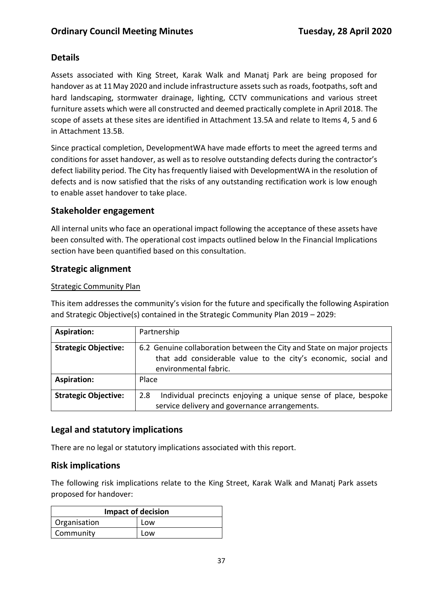## **Details**

Assets associated with King Street, Karak Walk and Manatj Park are being proposed for handover as at 11May 2020 and include infrastructure assets such as roads, footpaths, soft and hard landscaping, stormwater drainage, lighting, CCTV communications and various street furniture assets which were all constructed and deemed practically complete in April 2018. The scope of assets at these sites are identified in Attachment 13.5A and relate to Items 4, 5 and 6 in Attachment 13.5B.

Since practical completion, DevelopmentWA have made efforts to meet the agreed terms and conditions for asset handover, as well as to resolve outstanding defects during the contractor's defect liability period. The City has frequently liaised with DevelopmentWA in the resolution of defects and is now satisfied that the risks of any outstanding rectification work is low enough to enable asset handover to take place.

## **Stakeholder engagement**

All internal units who face an operational impact following the acceptance of these assets have been consulted with. The operational cost impacts outlined below In the Financial Implications section have been quantified based on this consultation.

## **Strategic alignment**

#### Strategic Community Plan

This item addresses the community's vision for the future and specifically the following Aspiration and Strategic Objective(s) contained in the Strategic Community Plan 2019 – 2029:

| <b>Aspiration:</b>          | Partnership                                                                                                                                                       |
|-----------------------------|-------------------------------------------------------------------------------------------------------------------------------------------------------------------|
| <b>Strategic Objective:</b> | 6.2 Genuine collaboration between the City and State on major projects<br>that add considerable value to the city's economic, social and<br>environmental fabric. |
| <b>Aspiration:</b>          | Place                                                                                                                                                             |
| <b>Strategic Objective:</b> | Individual precincts enjoying a unique sense of place, bespoke<br>2.8<br>service delivery and governance arrangements.                                            |

## **Legal and statutory implications**

There are no legal or statutory implications associated with this report.

## **Risk implications**

The following risk implications relate to the King Street, Karak Walk and Manatj Park assets proposed for handover:

| <b>Impact of decision</b> |     |
|---------------------------|-----|
| Organisation              | Low |
| Community                 | Low |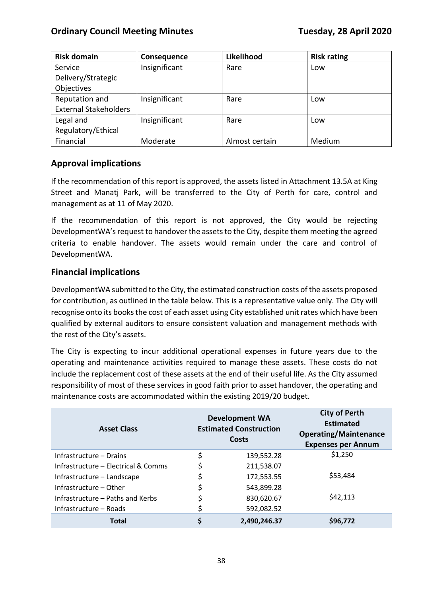| <b>Risk domain</b>           | Consequence   | Likelihood     | <b>Risk rating</b> |
|------------------------------|---------------|----------------|--------------------|
| Service                      | Insignificant | Rare           | Low                |
| Delivery/Strategic           |               |                |                    |
| Objectives                   |               |                |                    |
| Reputation and               | Insignificant | Rare           | Low                |
| <b>External Stakeholders</b> |               |                |                    |
| Legal and                    | Insignificant | Rare           | Low                |
| Regulatory/Ethical           |               |                |                    |
| Financial                    | Moderate      | Almost certain | Medium             |

## **Approval implications**

If the recommendation of this report is approved, the assets listed in Attachment 13.5A at King Street and Manatj Park, will be transferred to the City of Perth for care, control and management as at 11 of May 2020.

If the recommendation of this report is not approved, the City would be rejecting DevelopmentWA's request to handover the assets to the City, despite them meeting the agreed criteria to enable handover. The assets would remain under the care and control of DevelopmentWA.

## **Financial implications**

DevelopmentWA submitted to the City, the estimated construction costs of the assets proposed for contribution, as outlined in the table below. This is a representative value only. The City will recognise onto its books the cost of each asset using City established unit rates which have been qualified by external auditors to ensure consistent valuation and management methods with the rest of the City's assets.

The City is expecting to incur additional operational expenses in future years due to the operating and maintenance activities required to manage these assets. These costs do not include the replacement cost of these assets at the end of their useful life. As the City assumed responsibility of most of these services in good faith prior to asset handover, the operating and maintenance costs are accommodated within the existing 2019/20 budget.

| <b>Asset Class</b>                  | <b>Development WA</b><br><b>Estimated Construction</b><br>Costs | <b>City of Perth</b><br><b>Estimated</b><br><b>Operating/Maintenance</b><br><b>Expenses per Annum</b> |
|-------------------------------------|-----------------------------------------------------------------|-------------------------------------------------------------------------------------------------------|
| Infrastructure – Drains             | \$<br>139,552.28                                                | \$1,250                                                                                               |
| Infrastructure – Electrical & Comms | \$<br>211,538.07                                                |                                                                                                       |
| Infrastructure - Landscape          | \$<br>172,553.55                                                | \$53,484                                                                                              |
| Infrastructure – Other              | \$<br>543,899.28                                                |                                                                                                       |
| Infrastructure – Paths and Kerbs    | \$<br>830,620.67                                                | \$42,113                                                                                              |
| Infrastructure – Roads              | \$<br>592,082.52                                                |                                                                                                       |
| <b>Total</b>                        | \$<br>2,490,246.37                                              | \$96,772                                                                                              |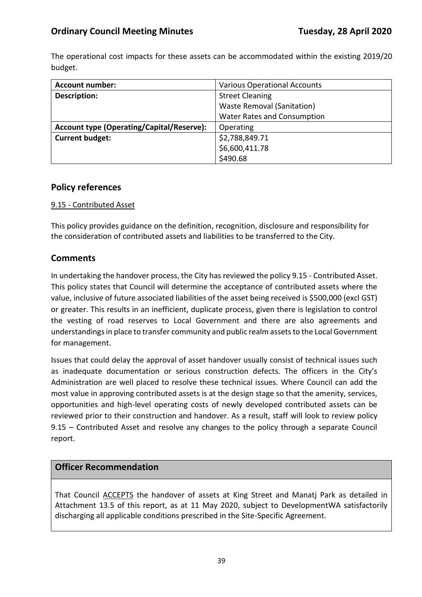The operational cost impacts for these assets can be accommodated within the existing 2019/20 budget.

| <b>Account number:</b>                           | <b>Various Operational Accounts</b> |  |
|--------------------------------------------------|-------------------------------------|--|
| <b>Description:</b>                              | <b>Street Cleaning</b>              |  |
|                                                  | <b>Waste Removal (Sanitation)</b>   |  |
|                                                  | Water Rates and Consumption         |  |
| <b>Account type (Operating/Capital/Reserve):</b> | Operating                           |  |
| <b>Current budget:</b>                           | \$2,788,849.71                      |  |
|                                                  | \$6,600,411.78                      |  |
|                                                  | \$490.68                            |  |

## **Policy references**

#### 9.15 - Contributed Asset

This policy provides guidance on the definition, recognition, disclosure and responsibility for the consideration of contributed assets and liabilities to be transferred to the City.

## **Comments**

In undertaking the handover process, the City has reviewed the policy 9.15 - Contributed Asset. This policy states that Council will determine the acceptance of contributed assets where the value, inclusive of future associated liabilities of the asset being received is \$500,000 (excl GST) or greater. This results in an inefficient, duplicate process, given there is legislation to control the vesting of road reserves to Local Government and there are also agreements and understandings in place to transfer community and public realm assets to the Local Government for management.

Issues that could delay the approval of asset handover usually consist of technical issues such as inadequate documentation or serious construction defects. The officers in the City's Administration are well placed to resolve these technical issues. Where Council can add the most value in approving contributed assets is at the design stage so that the amenity, services, opportunities and high-level operating costs of newly developed contributed assets can be reviewed prior to their construction and handover. As a result, staff will look to review policy 9.15 – Contributed Asset and resolve any changes to the policy through a separate Council report.

## **Officer Recommendation**

That Council ACCEPTS the handover of assets at King Street and Manatj Park as detailed in Attachment 13.5 of this report, as at 11 May 2020, subject to DevelopmentWA satisfactorily discharging all applicable conditions prescribed in the Site-Specific Agreement.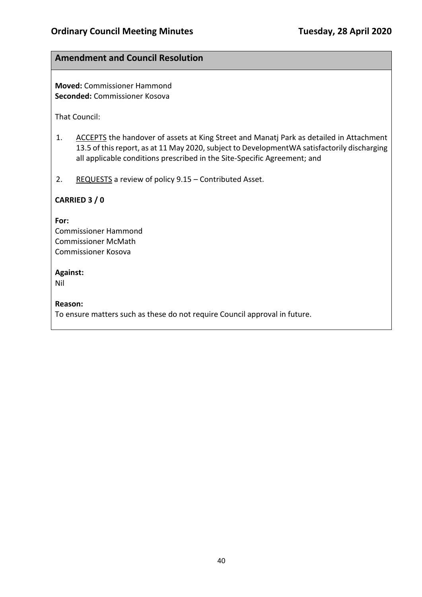## **Amendment and Council Resolution**

**Moved:** Commissioner Hammond **Seconded:** Commissioner Kosova

That Council:

- 1. ACCEPTS the handover of assets at King Street and Manatj Park as detailed in Attachment 13.5 of this report, as at 11 May 2020, subject to DevelopmentWA satisfactorily discharging all applicable conditions prescribed in the Site-Specific Agreement; and
- 2. REQUESTS a review of policy 9.15 Contributed Asset.

#### **CARRIED 3 / 0**

#### **For:**

Commissioner Hammond Commissioner McMath Commissioner Kosova

#### **Against:**

Nil

#### **Reason:**

To ensure matters such as these do not require Council approval in future.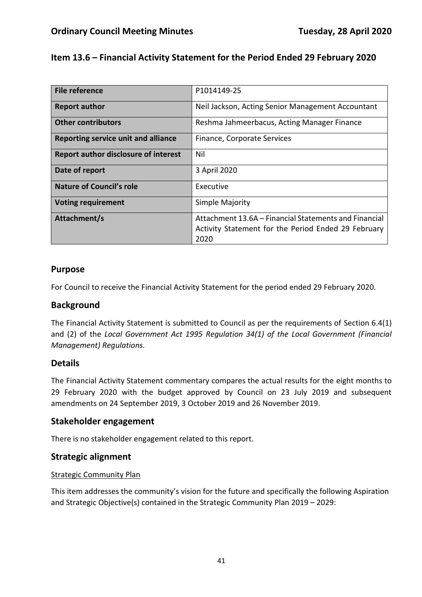## **Item 13.6 – Financial Activity Statement for the Period Ended 29 February 2020**

| File reference                              | P1014149-25                                           |
|---------------------------------------------|-------------------------------------------------------|
| <b>Report author</b>                        | Neil Jackson, Acting Senior Management Accountant     |
| <b>Other contributors</b>                   | Reshma Jahmeerbacus, Acting Manager Finance           |
| Reporting service unit and alliance         | Finance, Corporate Services                           |
| <b>Report author disclosure of interest</b> | Nil                                                   |
| Date of report                              | 3 April 2020                                          |
| Nature of Council's role                    | Executive                                             |
| <b>Voting requirement</b>                   | Simple Majority                                       |
| Attachment/s                                | Attachment 13.6A – Financial Statements and Financial |
|                                             | Activity Statement for the Period Ended 29 February   |
|                                             |                                                       |
|                                             | 2020                                                  |

#### **Purpose**

For Council to receive the Financial Activity Statement for the period ended 29 February 2020.

#### **Background**

The Financial Activity Statement is submitted to Council as per the requirements of Section 6.4(1) and (2) of the *Local Government Act 1995 Regulation 34(1) of the Local Government (Financial Management) Regulations.*

#### **Details**

The Financial Activity Statement commentary compares the actual results for the eight months to 29 February 2020 with the budget approved by Council on 23 July 2019 and subsequent amendments on 24 September 2019, 3 October 2019 and 26 November 2019.

#### **Stakeholder engagement**

There is no stakeholder engagement related to this report.

#### **Strategic alignment**

#### Strategic Community Plan

This item addresses the community's vision for the future and specifically the following Aspiration and Strategic Objective(s) contained in the Strategic Community Plan 2019 – 2029: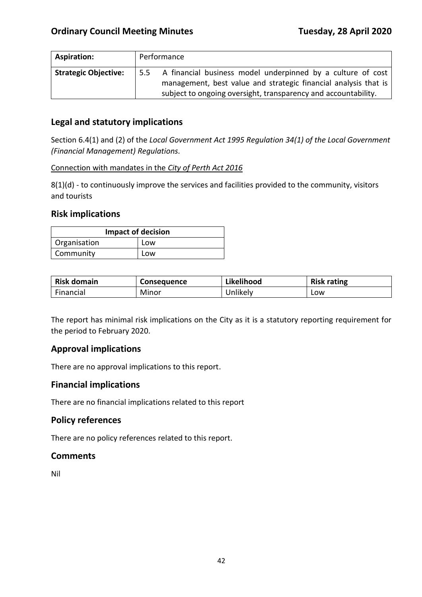| <b>Aspiration:</b>          | Performance                                                                                                                                                                                             |
|-----------------------------|---------------------------------------------------------------------------------------------------------------------------------------------------------------------------------------------------------|
| <b>Strategic Objective:</b> | A financial business model underpinned by a culture of cost<br>5.5<br>management, best value and strategic financial analysis that is<br>subject to ongoing oversight, transparency and accountability. |

## **Legal and statutory implications**

Section 6.4(1) and (2) of the *Local Government Act 1995 Regulation 34(1) of the Local Government (Financial Management) Regulations.*

#### Connection with mandates in the *City of Perth Act 2016*

8(1)(d) - to continuously improve the services and facilities provided to the community, visitors and tourists

#### **Risk implications**

| <b>Impact of decision</b> |     |  |  |
|---------------------------|-----|--|--|
| Organisation<br>Low       |     |  |  |
| Community                 | Low |  |  |

| <b>Risk domain</b> | <b>Consequence</b> | Likelihood | <b>Risk rating</b> |
|--------------------|--------------------|------------|--------------------|
| Financial          | Minor              | Jnlikely   | Low                |

The report has minimal risk implications on the City as it is a statutory reporting requirement for the period to February 2020.

#### **Approval implications**

There are no approval implications to this report.

#### **Financial implications**

There are no financial implications related to this report

#### **Policy references**

There are no policy references related to this report.

#### **Comments**

Nil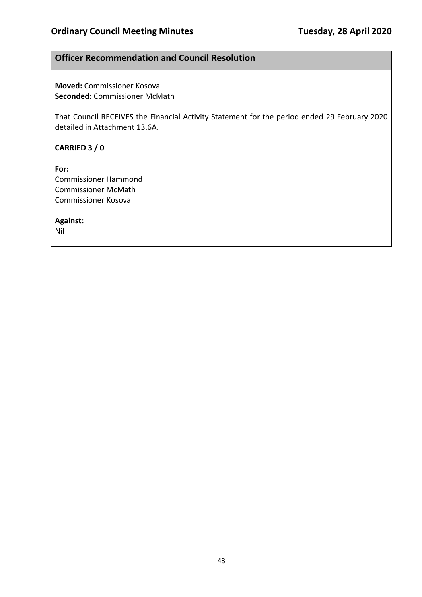#### **Officer Recommendation and Council Resolution**

**Moved:** Commissioner Kosova **Seconded:** Commissioner McMath

That Council RECEIVES the Financial Activity Statement for the period ended 29 February 2020 detailed in Attachment 13.6A.

**CARRIED 3 / 0**

**For:**  Commissioner Hammond Commissioner McMath Commissioner Kosova

**Against:** 

Nil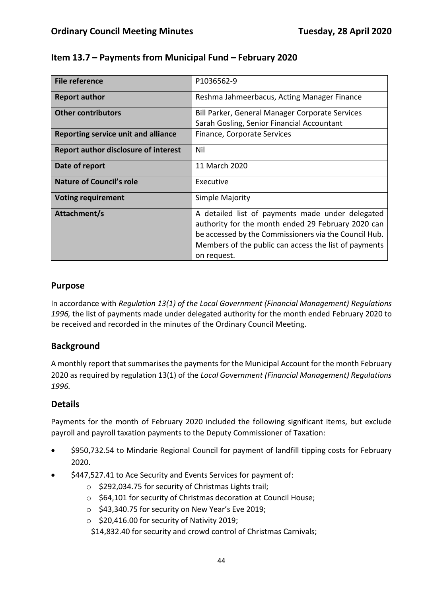| <b>File reference</b>                       | P1036562-9                                            |  |
|---------------------------------------------|-------------------------------------------------------|--|
| <b>Report author</b>                        | Reshma Jahmeerbacus, Acting Manager Finance           |  |
| <b>Other contributors</b>                   | Bill Parker, General Manager Corporate Services       |  |
|                                             | Sarah Gosling, Senior Financial Accountant            |  |
| Reporting service unit and alliance         | Finance, Corporate Services                           |  |
| <b>Report author disclosure of interest</b> | Nil                                                   |  |
| Date of report                              | 11 March 2020                                         |  |
| <b>Nature of Council's role</b>             | Executive                                             |  |
| <b>Voting requirement</b>                   | Simple Majority                                       |  |
| Attachment/s                                | A detailed list of payments made under delegated      |  |
|                                             | authority for the month ended 29 February 2020 can    |  |
|                                             | be accessed by the Commissioners via the Council Hub. |  |
|                                             | Members of the public can access the list of payments |  |
|                                             | on request.                                           |  |

## **Item 13.7 – Payments from Municipal Fund – February 2020**

## **Purpose**

In accordance with *Regulation 13(1) of the Local Government (Financial Management) Regulations 1996,* the list of payments made under delegated authority for the month ended February 2020 to be received and recorded in the minutes of the Ordinary Council Meeting.

## **Background**

A monthly report that summarises the payments for the Municipal Account for the month February 2020 as required by regulation 13(1) of the *Local Government (Financial Management) Regulations 1996.*

## **Details**

Payments for the month of February 2020 included the following significant items, but exclude payroll and payroll taxation payments to the Deputy Commissioner of Taxation:

- \$950,732.54 to Mindarie Regional Council for payment of landfill tipping costs for February 2020.
- \$447,527.41 to Ace Security and Events Services for payment of:
	- o \$292,034.75 for security of Christmas Lights trail;
	- o \$64,101 for security of Christmas decoration at Council House;
	- o \$43,340.75 for security on New Year's Eve 2019;
	- o \$20,416.00 for security of Nativity 2019;
	- \$14,832.40 for security and crowd control of Christmas Carnivals;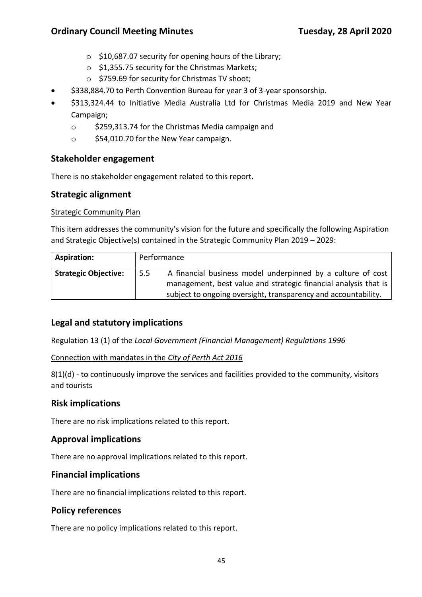- o \$10,687.07 security for opening hours of the Library;
- o \$1,355.75 security for the Christmas Markets;
- o \$759.69 for security for Christmas TV shoot;
- \$338,884.70 to Perth Convention Bureau for year 3 of 3-year sponsorship.
- \$313,324.44 to Initiative Media Australia Ltd for Christmas Media 2019 and New Year Campaign;
	- o \$259,313.74 for the Christmas Media campaign and
	- o \$54,010.70 for the New Year campaign.

#### **Stakeholder engagement**

There is no stakeholder engagement related to this report.

#### **Strategic alignment**

#### Strategic Community Plan

This item addresses the community's vision for the future and specifically the following Aspiration and Strategic Objective(s) contained in the Strategic Community Plan 2019 – 2029:

| Aspiration:                 |     | Performance                                                                                                                                                                                      |
|-----------------------------|-----|--------------------------------------------------------------------------------------------------------------------------------------------------------------------------------------------------|
| <b>Strategic Objective:</b> | 5.5 | A financial business model underpinned by a culture of cost<br>management, best value and strategic financial analysis that is<br>subject to ongoing oversight, transparency and accountability. |

#### **Legal and statutory implications**

Regulation 13 (1) of the *Local Government (Financial Management) Regulations 1996*

Connection with mandates in the *City of Perth Act 2016*

8(1)(d) - to continuously improve the services and facilities provided to the community, visitors and tourists

#### **Risk implications**

There are no risk implications related to this report.

#### **Approval implications**

There are no approval implications related to this report.

#### **Financial implications**

There are no financial implications related to this report.

#### **Policy references**

There are no policy implications related to this report.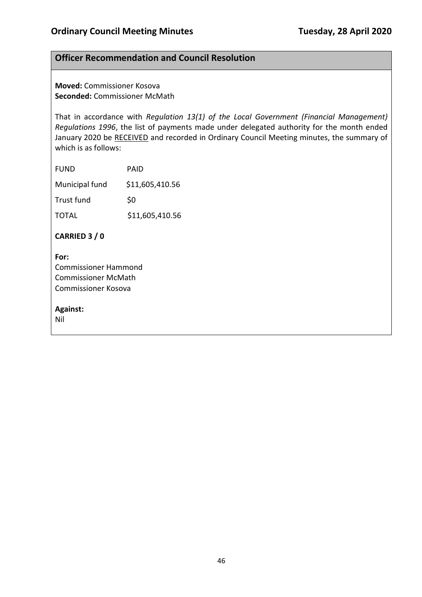#### **Officer Recommendation and Council Resolution**

**Moved:** Commissioner Kosova **Seconded:** Commissioner McMath

That in accordance with *Regulation 13(1) of the Local Government (Financial Management) Regulations 1996*, the list of payments made under delegated authority for the month ended January 2020 be RECEIVED and recorded in Ordinary Council Meeting minutes, the summary of which is as follows:

| <b>FUND</b>    | PAID            |
|----------------|-----------------|
| Municipal fund | \$11,605,410.56 |
| Trust fund     | \$0             |
| <b>TOTAL</b>   | \$11,605,410.56 |
|                |                 |

**CARRIED 3 / 0**

**For:**  Commissioner Hammond Commissioner McMath Commissioner Kosova

**Against:** 

Nil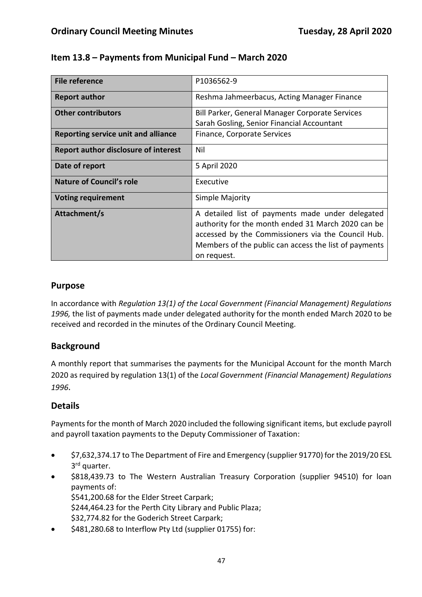| <b>File reference</b>                       | P1036562-9                                                                                             |  |
|---------------------------------------------|--------------------------------------------------------------------------------------------------------|--|
| <b>Report author</b>                        | Reshma Jahmeerbacus, Acting Manager Finance                                                            |  |
| <b>Other contributors</b>                   | Bill Parker, General Manager Corporate Services                                                        |  |
|                                             | Sarah Gosling, Senior Financial Accountant                                                             |  |
| Reporting service unit and alliance         | Finance, Corporate Services                                                                            |  |
| <b>Report author disclosure of interest</b> | Nil                                                                                                    |  |
| Date of report                              | 5 April 2020                                                                                           |  |
| <b>Nature of Council's role</b>             | Executive                                                                                              |  |
| <b>Voting requirement</b>                   | Simple Majority                                                                                        |  |
| Attachment/s                                | A detailed list of payments made under delegated<br>authority for the month ended 31 March 2020 can be |  |
|                                             | accessed by the Commissioners via the Council Hub.                                                     |  |
|                                             | Members of the public can access the list of payments                                                  |  |
|                                             | on request.                                                                                            |  |

## **Item 13.8 – Payments from Municipal Fund – March 2020**

#### **Purpose**

In accordance with *Regulation 13(1) of the Local Government (Financial Management) Regulations 1996,* the list of payments made under delegated authority for the month ended March 2020 to be received and recorded in the minutes of the Ordinary Council Meeting.

## **Background**

A monthly report that summarises the payments for the Municipal Account for the month March 2020 as required by regulation 13(1) of the *Local Government (Financial Management) Regulations 1996*.

## **Details**

Payments for the month of March 2020 included the following significant items, but exclude payroll and payroll taxation payments to the Deputy Commissioner of Taxation:

- \$7,632,374.17 to The Department of Fire and Emergency (supplier 91770) for the 2019/20 ESL 3<sup>rd</sup> quarter.
- \$818,439.73 to The Western Australian Treasury Corporation (supplier 94510) for loan payments of: \$541,200.68 for the Elder Street Carpark; \$244,464.23 for the Perth City Library and Public Plaza; \$32,774.82 for the Goderich Street Carpark;
- \$481,280.68 to Interflow Pty Ltd (supplier 01755) for: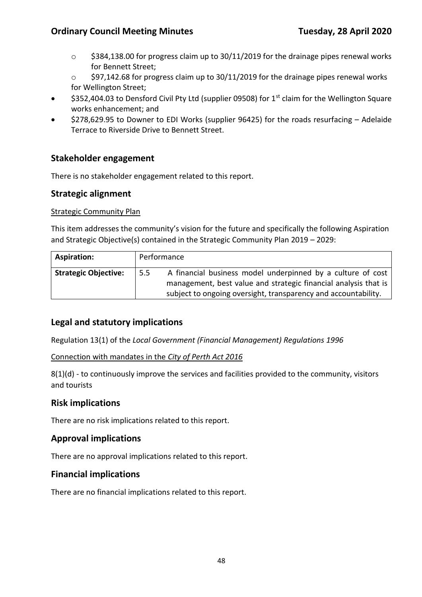- $\circ$  \$384,138.00 for progress claim up to 30/11/2019 for the drainage pipes renewal works for Bennett Street;
- $\circ$  \$97,142.68 for progress claim up to 30/11/2019 for the drainage pipes renewal works for Wellington Street;
- \$352,404.03 to Densford Civil Pty Ltd (supplier 09508) for 1st claim for the Wellington Square works enhancement; and
- \$278,629.95 to Downer to EDI Works (supplier 96425) for the roads resurfacing Adelaide Terrace to Riverside Drive to Bennett Street.

#### **Stakeholder engagement**

There is no stakeholder engagement related to this report.

#### **Strategic alignment**

#### Strategic Community Plan

This item addresses the community's vision for the future and specifically the following Aspiration and Strategic Objective(s) contained in the Strategic Community Plan 2019 – 2029:

| Aspiration:                 | Performance |                                                                                                                                                                                                  |
|-----------------------------|-------------|--------------------------------------------------------------------------------------------------------------------------------------------------------------------------------------------------|
| <b>Strategic Objective:</b> | 5.5         | A financial business model underpinned by a culture of cost<br>management, best value and strategic financial analysis that is<br>subject to ongoing oversight, transparency and accountability. |

#### **Legal and statutory implications**

Regulation 13(1) of the *Local Government (Financial Management) Regulations 1996*

Connection with mandates in the *City of Perth Act 2016*

8(1)(d) - to continuously improve the services and facilities provided to the community, visitors and tourists

#### **Risk implications**

There are no risk implications related to this report.

#### **Approval implications**

There are no approval implications related to this report.

#### **Financial implications**

There are no financial implications related to this report.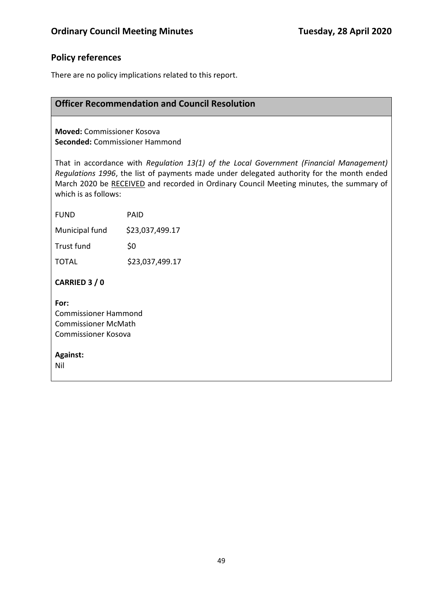## **Policy references**

There are no policy implications related to this report.

## **Officer Recommendation and Council Resolution**

**Moved:** Commissioner Kosova **Seconded:** Commissioner Hammond

That in accordance with *Regulation 13(1) of the Local Government (Financial Management) Regulations 1996*, the list of payments made under delegated authority for the month ended March 2020 be RECEIVED and recorded in Ordinary Council Meeting minutes, the summary of which is as follows:

| FUND           | PAID            |
|----------------|-----------------|
| Municipal fund | \$23,037,499.17 |
| Trust fund     | \$0             |
| TOTAL          | \$23,037,499.17 |
| CARRIED 3 / 0  |                 |

**For:**  Commissioner Hammond Commissioner McMath Commissioner Kosova

#### **Against:**

Nil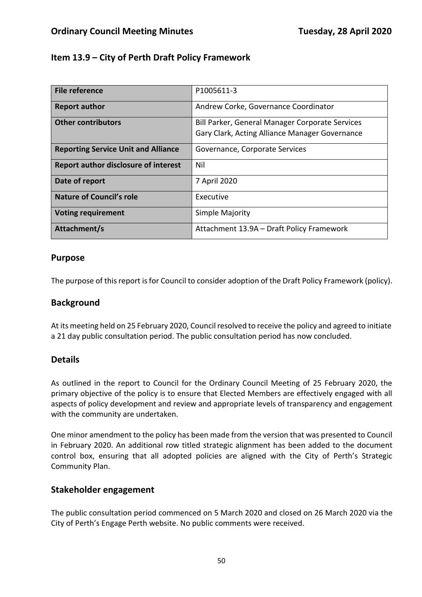### **Item 13.9 – City of Perth Draft Policy Framework**

| <b>File reference</b>                       | P1005611-3                                                                                        |
|---------------------------------------------|---------------------------------------------------------------------------------------------------|
| <b>Report author</b>                        | Andrew Corke, Governance Coordinator                                                              |
| <b>Other contributors</b>                   | Bill Parker, General Manager Corporate Services<br>Gary Clark, Acting Alliance Manager Governance |
| <b>Reporting Service Unit and Alliance</b>  | Governance, Corporate Services                                                                    |
| <b>Report author disclosure of interest</b> | Nil                                                                                               |
| Date of report                              | 7 April 2020                                                                                      |
| <b>Nature of Council's role</b>             | Executive                                                                                         |
| <b>Voting requirement</b>                   | Simple Majority                                                                                   |
| Attachment/s                                | Attachment 13.9A - Draft Policy Framework                                                         |

#### **Purpose**

The purpose of this report is for Council to consider adoption of the Draft Policy Framework (policy).

#### **Background**

At its meeting held on 25 February 2020, Council resolved to receive the policy and agreed to initiate a 21 day public consultation period. The public consultation period has now concluded.

#### **Details**

As outlined in the report to Council for the Ordinary Council Meeting of 25 February 2020, the primary objective of the policy is to ensure that Elected Members are effectively engaged with all aspects of policy development and review and appropriate levels of transparency and engagement with the community are undertaken.

One minor amendment to the policy has been made from the version that was presented to Council in February 2020. An additional row titled strategic alignment has been added to the document control box, ensuring that all adopted policies are aligned with the City of Perth's Strategic Community Plan.

#### **Stakeholder engagement**

The public consultation period commenced on 5 March 2020 and closed on 26 March 2020 via the City of Perth's Engage Perth website. No public comments were received.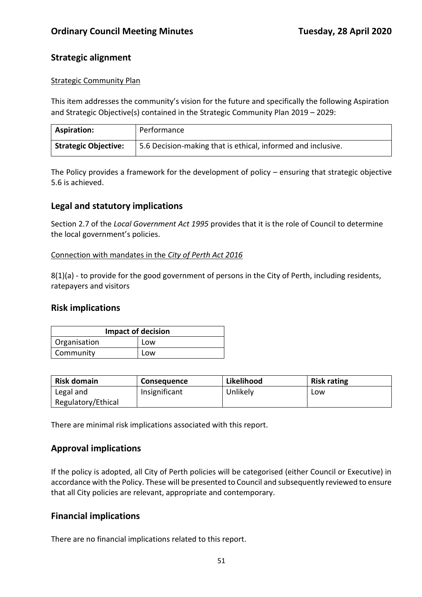## **Strategic alignment**

#### Strategic Community Plan

This item addresses the community's vision for the future and specifically the following Aspiration and Strategic Objective(s) contained in the Strategic Community Plan 2019 – 2029:

| <b>Aspiration:</b>          | Performance                                                  |
|-----------------------------|--------------------------------------------------------------|
| <b>Strategic Objective:</b> | 5.6 Decision-making that is ethical, informed and inclusive. |

The Policy provides a framework for the development of policy – ensuring that strategic objective 5.6 is achieved.

## **Legal and statutory implications**

Section 2.7 of the *Local Government Act 1995* provides that it is the role of Council to determine the local government's policies.

#### Connection with mandates in the *City of Perth Act 2016*

8(1)(a) - to provide for the good government of persons in the City of Perth, including residents, ratepayers and visitors

#### **Risk implications**

| <b>Impact of decision</b> |     |  |  |
|---------------------------|-----|--|--|
| Organisation<br>Low       |     |  |  |
| Community                 | Low |  |  |

| <b>Risk domain</b> | Consequence   | Likelihood | <b>Risk rating</b> |
|--------------------|---------------|------------|--------------------|
| Legal and          | Insignificant | Unlikely   | Low                |
| Regulatory/Ethical |               |            |                    |

There are minimal risk implications associated with this report.

## **Approval implications**

If the policy is adopted, all City of Perth policies will be categorised (either Council or Executive) in accordance with the Policy. These will be presented to Council and subsequently reviewed to ensure that all City policies are relevant, appropriate and contemporary.

#### **Financial implications**

There are no financial implications related to this report.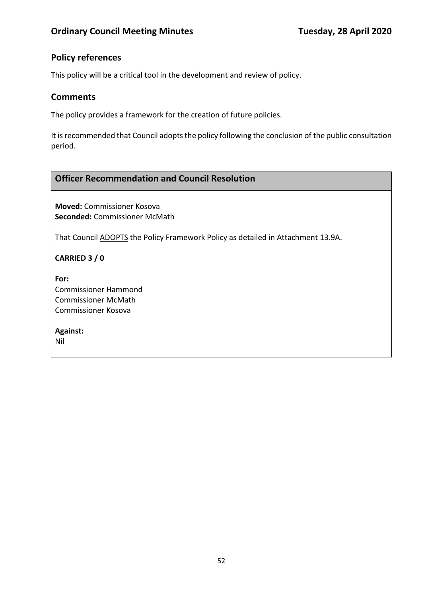## **Policy references**

This policy will be a critical tool in the development and review of policy.

## **Comments**

The policy provides a framework for the creation of future policies.

It is recommended that Council adopts the policy following the conclusion of the public consultation period.

# **Officer Recommendation and Council Resolution**

**Moved:** Commissioner Kosova **Seconded:** Commissioner McMath

That Council ADOPTS the Policy Framework Policy as detailed in Attachment 13.9A.

**CARRIED 3 / 0**

**For:**  Commissioner Hammond Commissioner McMath Commissioner Kosova

**Against:**  Nil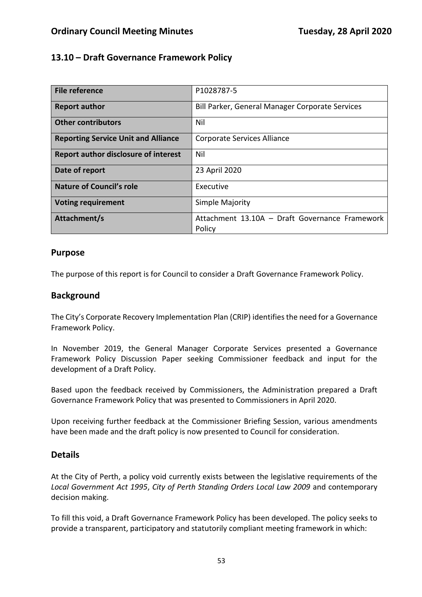## **13.10 – Draft Governance Framework Policy**

| File reference                              | P1028787-5                                               |  |
|---------------------------------------------|----------------------------------------------------------|--|
| <b>Report author</b>                        | Bill Parker, General Manager Corporate Services          |  |
| <b>Other contributors</b>                   | Nil                                                      |  |
| <b>Reporting Service Unit and Alliance</b>  | Corporate Services Alliance                              |  |
| <b>Report author disclosure of interest</b> | Nil                                                      |  |
| Date of report                              | 23 April 2020                                            |  |
| <b>Nature of Council's role</b>             | Executive                                                |  |
| <b>Voting requirement</b>                   | Simple Majority                                          |  |
| Attachment/s                                | Attachment 13.10A - Draft Governance Framework<br>Policy |  |

#### **Purpose**

The purpose of this report is for Council to consider a Draft Governance Framework Policy.

#### **Background**

The City's Corporate Recovery Implementation Plan (CRIP) identifies the need for a Governance Framework Policy.

In November 2019, the General Manager Corporate Services presented a Governance Framework Policy Discussion Paper seeking Commissioner feedback and input for the development of a Draft Policy.

Based upon the feedback received by Commissioners, the Administration prepared a Draft Governance Framework Policy that was presented to Commissioners in April 2020.

Upon receiving further feedback at the Commissioner Briefing Session, various amendments have been made and the draft policy is now presented to Council for consideration.

#### **Details**

At the City of Perth, a policy void currently exists between the legislative requirements of the *Local Government Act 1995*, *City of Perth Standing Orders Local Law 2009* and contemporary decision making.

To fill this void, a Draft Governance Framework Policy has been developed. The policy seeks to provide a transparent, participatory and statutorily compliant meeting framework in which: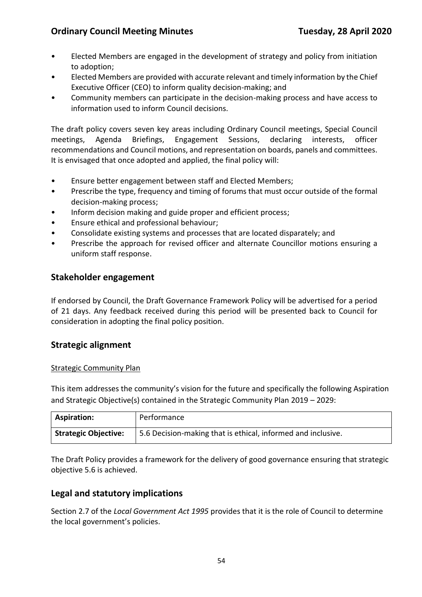- Elected Members are engaged in the development of strategy and policy from initiation to adoption;
- Elected Members are provided with accurate relevant and timely information by the Chief Executive Officer (CEO) to inform quality decision-making; and
- Community members can participate in the decision-making process and have access to information used to inform Council decisions.

The draft policy covers seven key areas including Ordinary Council meetings, Special Council meetings, Agenda Briefings, Engagement Sessions, declaring interests, officer recommendations and Council motions, and representation on boards, panels and committees. It is envisaged that once adopted and applied, the final policy will:

- Ensure better engagement between staff and Elected Members;
- Prescribe the type, frequency and timing of forums that must occur outside of the formal decision-making process;
- Inform decision making and guide proper and efficient process;
- Ensure ethical and professional behaviour;
- Consolidate existing systems and processes that are located disparately; and
- Prescribe the approach for revised officer and alternate Councillor motions ensuring a uniform staff response.

#### **Stakeholder engagement**

If endorsed by Council, the Draft Governance Framework Policy will be advertised for a period of 21 days. Any feedback received during this period will be presented back to Council for consideration in adopting the final policy position.

#### **Strategic alignment**

#### Strategic Community Plan

This item addresses the community's vision for the future and specifically the following Aspiration and Strategic Objective(s) contained in the Strategic Community Plan 2019 – 2029:

| <b>Aspiration:</b>          | Performance                                                  |
|-----------------------------|--------------------------------------------------------------|
| <b>Strategic Objective:</b> | 5.6 Decision-making that is ethical, informed and inclusive. |

The Draft Policy provides a framework for the delivery of good governance ensuring that strategic objective 5.6 is achieved.

#### **Legal and statutory implications**

Section 2.7 of the *Local Government Act 1995* provides that it is the role of Council to determine the local government's policies.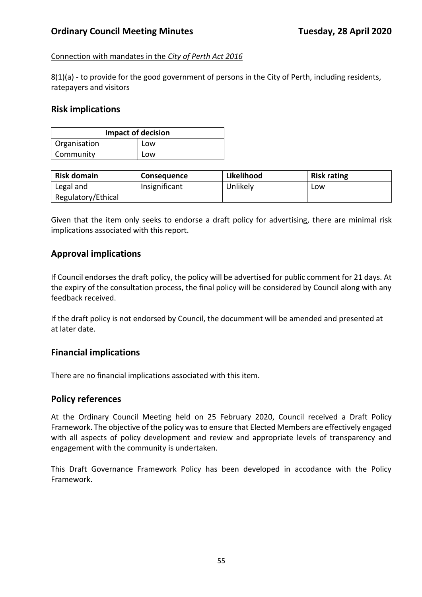#### Connection with mandates in the *City of Perth Act 2016*

8(1)(a) - to provide for the good government of persons in the City of Perth, including residents, ratepayers and visitors

#### **Risk implications**

| <b>Impact of decision</b> |     |  |  |
|---------------------------|-----|--|--|
| Organisation              | Low |  |  |
| Community                 | Low |  |  |

| <b>Risk domain</b> | <b>Consequence</b> | Likelihood | <b>Risk rating</b> |
|--------------------|--------------------|------------|--------------------|
| Legal and          | Insignificant      | Unlikely   | LOW                |
| Regulatory/Ethical |                    |            |                    |

Given that the item only seeks to endorse a draft policy for advertising, there are minimal risk implications associated with this report.

#### **Approval implications**

If Council endorses the draft policy, the policy will be advertised for public comment for 21 days. At the expiry of the consultation process, the final policy will be considered by Council along with any feedback received.

If the draft policy is not endorsed by Council, the documment will be amended and presented at at later date.

#### **Financial implications**

There are no financial implications associated with this item.

#### **Policy references**

At the Ordinary Council Meeting held on 25 February 2020, Council received a Draft Policy Framework. The objective of the policy wasto ensure that Elected Members are effectively engaged with all aspects of policy development and review and appropriate levels of transparency and engagement with the community is undertaken.

This Draft Governance Framework Policy has been developed in accodance with the Policy Framework.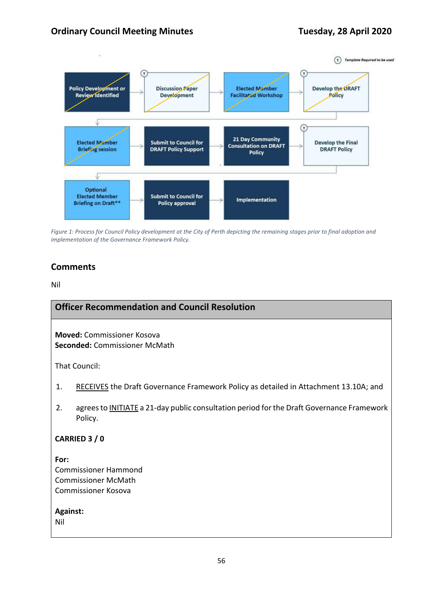

*Figure 1: Process for Council Policy development at the City of Perth depicting the remaining stages prior to final adoption and implementation of the Governance Framework Policy.*

## **Comments**

Nil

#### **Officer Recommendation and Council Resolution**

**Moved:** Commissioner Kosova **Seconded:** Commissioner McMath

That Council:

- 1. RECEIVES the Draft Governance Framework Policy as detailed in Attachment 13.10A; and
- 2. agrees to INITIATE a 21-day public consultation period forthe Draft Governance Framework Policy.

#### **CARRIED 3 / 0**

**For:**  Commissioner Hammond Commissioner McMath Commissioner Kosova

**Against:**  Nil